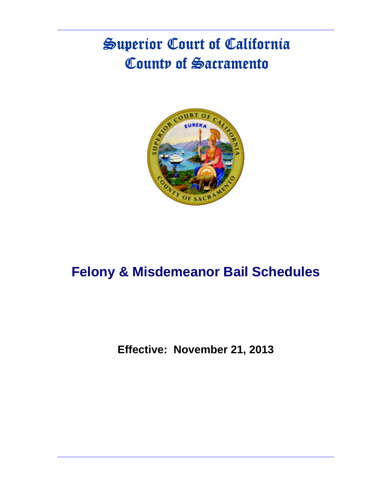# Superior Court of California County of Sacramento



# **Felony & Misdemeanor Bail Schedules**

**Effective: November 21, 2013**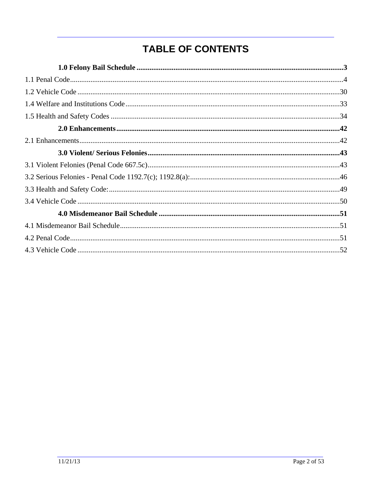# **TABLE OF CONTENTS**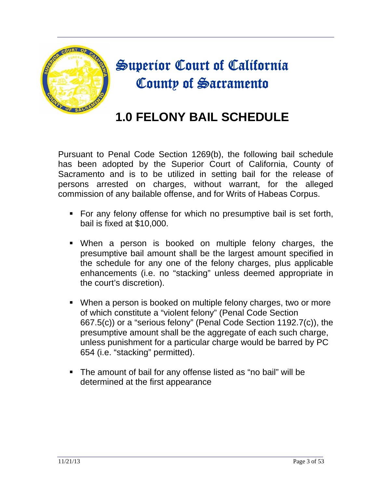

# Superior Court of California County of Sacramento

# **1.0 FELONY BAIL SCHEDULE**

Pursuant to Penal Code Section 1269(b), the following bail schedule has been adopted by the Superior Court of California, County of Sacramento and is to be utilized in setting bail for the release of persons arrested on charges, without warrant, for the alleged commission of any bailable offense, and for Writs of Habeas Corpus.

- For any felony offense for which no presumptive bail is set forth, bail is fixed at \$10,000.
- When a person is booked on multiple felony charges, the presumptive bail amount shall be the largest amount specified in the schedule for any one of the felony charges, plus applicable enhancements (i.e. no "stacking" unless deemed appropriate in the court's discretion).
- When a person is booked on multiple felony charges, two or more of which constitute a "violent felony" (Penal Code Section 667.5(c)) or a "serious felony" (Penal Code Section 1192.7(c)), the presumptive amount shall be the aggregate of each such charge, unless punishment for a particular charge would be barred by PC 654 (i.e. "stacking" permitted).
- The amount of bail for any offense listed as "no bail" will be determined at the first appearance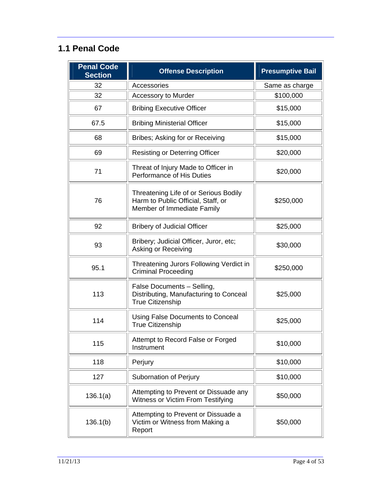### **1.1 Penal Code**

| <b>Penal Code</b><br><b>Section</b> | <b>Offense Description</b>                                                                                | <b>Presumptive Bail</b> |
|-------------------------------------|-----------------------------------------------------------------------------------------------------------|-------------------------|
| 32                                  | Accessories                                                                                               | Same as charge          |
| 32                                  | <b>Accessory to Murder</b>                                                                                | \$100,000               |
| 67                                  | <b>Bribing Executive Officer</b>                                                                          | \$15,000                |
| 67.5                                | <b>Bribing Ministerial Officer</b>                                                                        | \$15,000                |
| 68                                  | Bribes; Asking for or Receiving                                                                           | \$15,000                |
| 69                                  | <b>Resisting or Deterring Officer</b>                                                                     | \$20,000                |
| 71                                  | Threat of Injury Made to Officer in<br>Performance of His Duties                                          | \$20,000                |
| 76                                  | Threatening Life of or Serious Bodily<br>Harm to Public Official, Staff, or<br>Member of Immediate Family | \$250,000               |
| 92                                  | <b>Bribery of Judicial Officer</b>                                                                        | \$25,000                |
| 93                                  | Bribery; Judicial Officer, Juror, etc;<br>Asking or Receiving                                             | \$30,000                |
| 95.1                                | Threatening Jurors Following Verdict in<br><b>Criminal Proceeding</b>                                     | \$250,000               |
| 113                                 | False Documents - Selling,<br>Distributing, Manufacturing to Conceal<br><b>True Citizenship</b>           | \$25,000                |
| 114                                 | Using False Documents to Conceal<br><b>True Citizenship</b>                                               | \$25,000                |
| 115                                 | Attempt to Record False or Forged<br>Instrument                                                           | \$10,000                |
| 118                                 | Perjury                                                                                                   | \$10,000                |
| 127                                 | Subornation of Perjury                                                                                    | \$10,000                |
| 136.1(a)                            | Attempting to Prevent or Dissuade any<br>Witness or Victim From Testifying                                | \$50,000                |
| 136.1(b)                            | Attempting to Prevent or Dissuade a<br>Victim or Witness from Making a<br>Report                          | \$50,000                |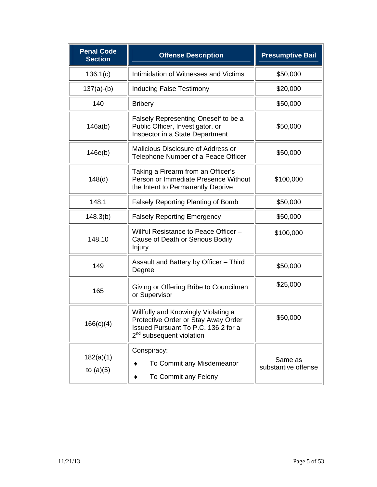| <b>Penal Code</b><br><b>Section</b> | <b>Offense Description</b>                                                                                                                                | <b>Presumptive Bail</b>        |
|-------------------------------------|-----------------------------------------------------------------------------------------------------------------------------------------------------------|--------------------------------|
| 136.1(c)                            | Intimidation of Witnesses and Victims                                                                                                                     | \$50,000                       |
| $137(a)-(b)$                        | <b>Inducing False Testimony</b>                                                                                                                           | \$20,000                       |
| 140                                 | <b>Bribery</b>                                                                                                                                            | \$50,000                       |
| 146a(b)                             | Falsely Representing Oneself to be a<br>Public Officer, Investigator, or<br>Inspector in a State Department                                               | \$50,000                       |
| 146e(b)                             | Malicious Disclosure of Address or<br>Telephone Number of a Peace Officer                                                                                 | \$50,000                       |
| 148(d)                              | Taking a Firearm from an Officer's<br>Person or Immediate Presence Without<br>the Intent to Permanently Deprive                                           | \$100,000                      |
| 148.1                               | <b>Falsely Reporting Planting of Bomb</b>                                                                                                                 | \$50,000                       |
| 148.3(b)                            | <b>Falsely Reporting Emergency</b>                                                                                                                        | \$50,000                       |
| 148.10                              | Willful Resistance to Peace Officer -<br>Cause of Death or Serious Bodily<br>Injury                                                                       | \$100,000                      |
| 149                                 | Assault and Battery by Officer - Third<br>Degree                                                                                                          | \$50,000                       |
| 165                                 | Giving or Offering Bribe to Councilmen<br>or Supervisor                                                                                                   | \$25,000                       |
| 166(c)(4)                           | Willfully and Knowingly Violating a<br>Protective Order or Stay Away Order<br>Issued Pursuant To P.C. 136.2 for a<br>2 <sup>nd</sup> subsequent violation | \$50,000                       |
| 182(a)(1)<br>to $(a)(5)$            | Conspiracy:<br>To Commit any Misdemeanor<br>To Commit any Felony                                                                                          | Same as<br>substantive offense |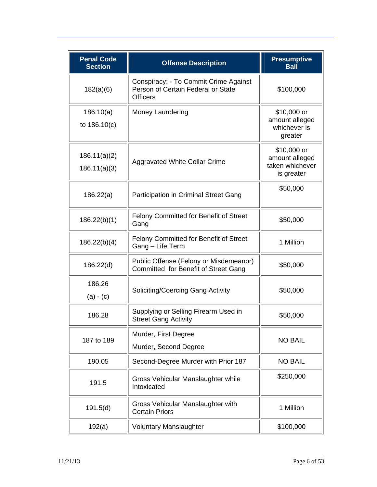| <b>Penal Code</b><br><b>Section</b> | <b>Offense Description</b>                                                                     | <b>Presumptive</b><br><b>Bail</b>                              |
|-------------------------------------|------------------------------------------------------------------------------------------------|----------------------------------------------------------------|
| 182(a)(6)                           | Conspiracy: - To Commit Crime Against<br>Person of Certain Federal or State<br><b>Officers</b> | \$100,000                                                      |
| 186.10(a)<br>to 186.10(c)           | Money Laundering                                                                               | \$10,000 or<br>amount alleged<br>whichever is<br>greater       |
| 186.11(a)(2)<br>186.11(a)(3)        | <b>Aggravated White Collar Crime</b>                                                           | \$10,000 or<br>amount alleged<br>taken whichever<br>is greater |
| 186.22(a)                           | Participation in Criminal Street Gang                                                          | \$50,000                                                       |
| 186.22(b)(1)                        | <b>Felony Committed for Benefit of Street</b><br>Gang                                          | \$50,000                                                       |
| 186.22(b)(4)                        | Felony Committed for Benefit of Street<br>Gang - Life Term                                     | 1 Million                                                      |
| 186.22(d)                           | Public Offense (Felony or Misdemeanor)<br>Committed for Benefit of Street Gang                 | \$50,000                                                       |
| 186.26<br>$(a) - (c)$               | Soliciting/Coercing Gang Activity                                                              | \$50,000                                                       |
| 186.28                              | Supplying or Selling Firearm Used in<br><b>Street Gang Activity</b>                            | \$50,000                                                       |
| 187 to 189                          | Murder, First Degree<br>Murder, Second Degree                                                  | <b>NO BAIL</b>                                                 |
| 190.05                              | Second-Degree Murder with Prior 187                                                            | <b>NO BAIL</b>                                                 |
| 191.5                               | Gross Vehicular Manslaughter while<br>Intoxicated                                              | \$250,000                                                      |
| 191.5(d)                            | Gross Vehicular Manslaughter with<br><b>Certain Priors</b>                                     | 1 Million                                                      |
| 192(a)                              | <b>Voluntary Manslaughter</b>                                                                  | \$100,000                                                      |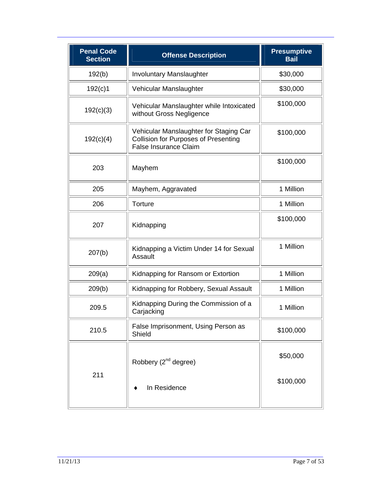| <b>Penal Code</b><br><b>Section</b> | <b>Offense Description</b>                                                                                            | <b>Presumptive</b><br><b>Bail</b> |
|-------------------------------------|-----------------------------------------------------------------------------------------------------------------------|-----------------------------------|
| 192(b)                              | <b>Involuntary Manslaughter</b>                                                                                       | \$30,000                          |
| 192(c)1                             | Vehicular Manslaughter                                                                                                | \$30,000                          |
| 192(c)(3)                           | Vehicular Manslaughter while Intoxicated<br>without Gross Negligence                                                  | \$100,000                         |
| 192(c)(4)                           | Vehicular Manslaughter for Staging Car<br><b>Collision for Purposes of Presenting</b><br><b>False Insurance Claim</b> | \$100,000                         |
| 203                                 | Mayhem                                                                                                                | \$100,000                         |
| 205                                 | Mayhem, Aggravated                                                                                                    | 1 Million                         |
| 206                                 | Torture                                                                                                               | 1 Million                         |
| 207                                 | Kidnapping                                                                                                            | \$100,000                         |
| 207(b)                              | Kidnapping a Victim Under 14 for Sexual<br>Assault                                                                    | 1 Million                         |
| 209(a)                              | Kidnapping for Ransom or Extortion                                                                                    | 1 Million                         |
| 209(b)                              | Kidnapping for Robbery, Sexual Assault                                                                                | 1 Million                         |
| 209.5                               | Kidnapping During the Commission of a<br>Carjacking                                                                   | 1 Million                         |
| 210.5                               | False Imprisonment, Using Person as<br>Shield                                                                         | \$100,000                         |
| 211                                 | Robbery (2 <sup>nd</sup> degree)                                                                                      | \$50,000<br>\$100,000             |
|                                     | In Residence                                                                                                          |                                   |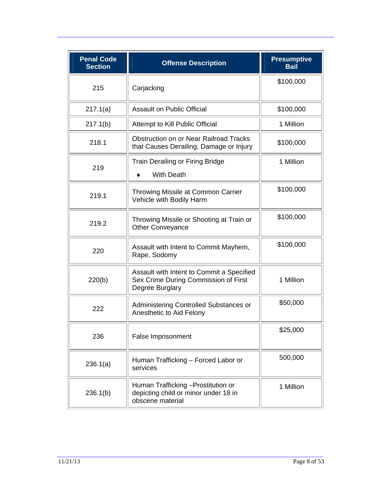| <b>Penal Code</b><br><b>Section</b> | <b>Offense Description</b>                                                                           | <b>Presumptive</b><br><b>Bail</b> |
|-------------------------------------|------------------------------------------------------------------------------------------------------|-----------------------------------|
| 215                                 | Carjacking                                                                                           | \$100,000                         |
| 217.1(a)                            | <b>Assault on Public Official</b>                                                                    | \$100,000                         |
| 217.1(b)                            | Attempt to Kill Public Official                                                                      | 1 Million                         |
| 218.1                               | Obstruction on or Near Railroad Tracks<br>that Causes Derailing, Damage or Injury                    | \$100,000                         |
| 219                                 | <b>Train Derailing or Firing Bridge</b><br><b>With Death</b>                                         | 1 Million                         |
| 219.1                               | Throwing Missile at Common Carrier<br>Vehicle with Bodily Harm                                       | \$100,000                         |
| 219.2                               | Throwing Missile or Shooting at Train or<br>Other Conveyance                                         | \$100,000                         |
| 220                                 | Assault with Intent to Commit Mayhem,<br>Rape, Sodomy                                                | \$100,000                         |
| 220(b)                              | Assault with Intent to Commit a Specified<br>Sex Crime During Commission of First<br>Degree Burglary | 1 Million                         |
| 222                                 | Administering Controlled Substances or<br>Anesthetic to Aid Felony                                   | \$50,000                          |
| 236                                 | False Imprisonment                                                                                   | \$25,000                          |
| 236.1(a)                            | Human Trafficking - Forced Labor or<br>services                                                      | 500,000                           |
| 236.1(b)                            | Human Trafficking - Prostitution or<br>depicting child or minor under 18 in<br>obscene material      | 1 Million                         |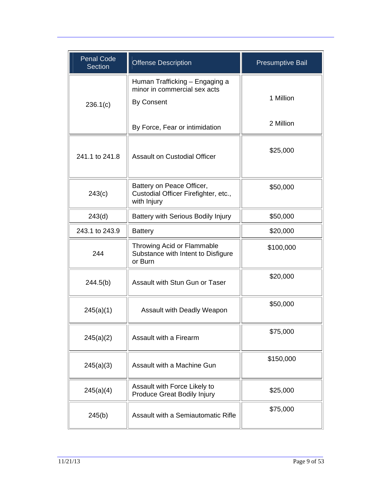| <b>Penal Code</b><br><b>Section</b> | Offense Description                                                                 | <b>Presumptive Bail</b> |
|-------------------------------------|-------------------------------------------------------------------------------------|-------------------------|
| 236.1(c)                            | Human Trafficking - Engaging a<br>minor in commercial sex acts<br><b>By Consent</b> | 1 Million               |
|                                     | By Force, Fear or intimidation                                                      | 2 Million               |
| 241.1 to 241.8                      | <b>Assault on Custodial Officer</b>                                                 | \$25,000                |
| 243(c)                              | Battery on Peace Officer,<br>Custodial Officer Firefighter, etc.,<br>with Injury    | \$50,000                |
| 243(d)                              | Battery with Serious Bodily Injury                                                  | \$50,000                |
| 243.1 to 243.9                      | <b>Battery</b>                                                                      | \$20,000                |
| 244                                 | Throwing Acid or Flammable<br>Substance with Intent to Disfigure<br>or Burn         | \$100,000               |
| 244.5(b)                            | Assault with Stun Gun or Taser                                                      | \$20,000                |
| 245(a)(1)                           | Assault with Deadly Weapon                                                          | \$50,000                |
| 245(a)(2)                           | Assault with a Firearm                                                              | \$75,000                |
| 245(a)(3)                           | Assault with a Machine Gun                                                          | \$150,000               |
| 245(a)(4)                           | Assault with Force Likely to<br><b>Produce Great Bodily Injury</b>                  | \$25,000                |
| 245(b)                              | Assault with a Semiautomatic Rifle                                                  | \$75,000                |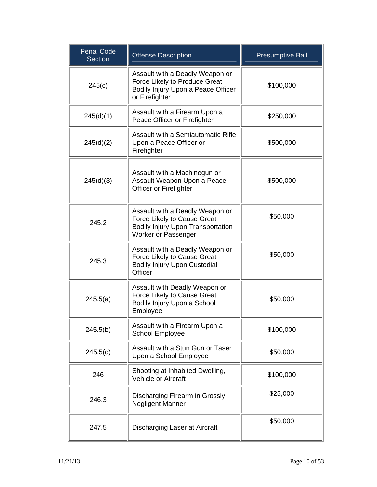| <b>Penal Code</b><br><b>Section</b> | <b>Offense Description</b>                                                                                                        | <b>Presumptive Bail</b> |
|-------------------------------------|-----------------------------------------------------------------------------------------------------------------------------------|-------------------------|
| 245(c)                              | Assault with a Deadly Weapon or<br>Force Likely to Produce Great<br>Bodily Injury Upon a Peace Officer<br>or Firefighter          | \$100,000               |
| 245(d)(1)                           | Assault with a Firearm Upon a<br>Peace Officer or Firefighter                                                                     | \$250,000               |
| 245(d)(2)                           | Assault with a Semiautomatic Rifle<br>Upon a Peace Officer or<br>Firefighter                                                      | \$500,000               |
| 245(d)(3)                           | Assault with a Machinegun or<br>Assault Weapon Upon a Peace<br>Officer or Firefighter                                             | \$500,000               |
| 245.2                               | Assault with a Deadly Weapon or<br>Force Likely to Cause Great<br><b>Bodily Injury Upon Transportation</b><br>Worker or Passenger | \$50,000                |
| 245.3                               | Assault with a Deadly Weapon or<br>Force Likely to Cause Great<br><b>Bodily Injury Upon Custodial</b><br>Officer                  | \$50,000                |
| 245.5(a)                            | Assault with Deadly Weapon or<br>Force Likely to Cause Great<br>Bodily Injury Upon a School<br>Employee                           | \$50,000                |
| 245.5(b)                            | Assault with a Firearm Upon a<br><b>School Employee</b>                                                                           | \$100,000               |
| 245.5(c)                            | Assault with a Stun Gun or Taser<br>Upon a School Employee                                                                        | \$50,000                |
| 246                                 | Shooting at Inhabited Dwelling,<br><b>Vehicle or Aircraft</b>                                                                     | \$100,000               |
| 246.3                               | Discharging Firearm in Grossly<br>Negligent Manner                                                                                | \$25,000                |
| 247.5                               | Discharging Laser at Aircraft                                                                                                     | \$50,000                |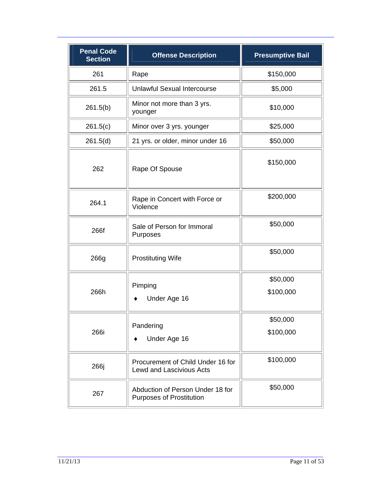| <b>Penal Code</b><br><b>Section</b> | <b>Offense Description</b>                                           | <b>Presumptive Bail</b> |
|-------------------------------------|----------------------------------------------------------------------|-------------------------|
| 261                                 | Rape                                                                 | \$150,000               |
| 261.5                               | <b>Unlawful Sexual Intercourse</b>                                   | \$5,000                 |
| 261.5(b)                            | Minor not more than 3 yrs.<br>younger                                | \$10,000                |
| 261.5(c)                            | Minor over 3 yrs. younger                                            | \$25,000                |
| 261.5(d)                            | 21 yrs. or older, minor under 16                                     | \$50,000                |
| 262                                 | Rape Of Spouse                                                       | \$150,000               |
| 264.1                               | Rape in Concert with Force or<br>Violence                            | \$200,000               |
| 266f                                | Sale of Person for Immoral<br>Purposes                               | \$50,000                |
| 266g                                | <b>Prostituting Wife</b>                                             | \$50,000                |
|                                     | Pimping                                                              | \$50,000                |
| 266h                                | Under Age 16                                                         | \$100,000               |
|                                     | Pandering                                                            | \$50,000                |
| 266i                                | Under Age 16                                                         | \$100,000               |
| 266j                                | Procurement of Child Under 16 for<br><b>Lewd and Lascivious Acts</b> | \$100,000               |
| 267                                 | Abduction of Person Under 18 for<br><b>Purposes of Prostitution</b>  | \$50,000                |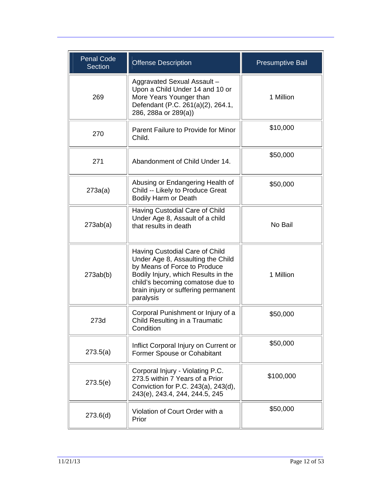| <b>Penal Code</b><br><b>Section</b> | <b>Offense Description</b>                                                                                                                                                                                                         | <b>Presumptive Bail</b> |
|-------------------------------------|------------------------------------------------------------------------------------------------------------------------------------------------------------------------------------------------------------------------------------|-------------------------|
| 269                                 | Aggravated Sexual Assault-<br>Upon a Child Under 14 and 10 or<br>More Years Younger than<br>Defendant (P.C. 261(a)(2), 264.1,<br>286, 288a or 289(a))                                                                              | 1 Million               |
| 270                                 | Parent Failure to Provide for Minor<br>Child.                                                                                                                                                                                      | \$10,000                |
| 271                                 | Abandonment of Child Under 14.                                                                                                                                                                                                     | \$50,000                |
| 273a(a)                             | Abusing or Endangering Health of<br>Child -- Likely to Produce Great<br><b>Bodily Harm or Death</b>                                                                                                                                | \$50,000                |
| 273ab(a)                            | Having Custodial Care of Child<br>Under Age 8, Assault of a child<br>that results in death                                                                                                                                         | No Bail                 |
| 273ab(b)                            | Having Custodial Care of Child<br>Under Age 8, Assaulting the Child<br>by Means of Force to Produce<br>Bodily Injury, which Results in the<br>child's becoming comatose due to<br>brain injury or suffering permanent<br>paralysis | 1 Million               |
| 273d                                | Corporal Punishment or Injury of a<br>Child Resulting in a Traumatic<br>Condition                                                                                                                                                  | \$50,000                |
| 273.5(a)                            | Inflict Corporal Injury on Current or<br>Former Spouse or Cohabitant                                                                                                                                                               | \$50,000                |
| 273.5(e)                            | Corporal Injury - Violating P.C.<br>273.5 within 7 Years of a Prior<br>Conviction for P.C. 243(a), 243(d),<br>243(e), 243.4, 244, 244.5, 245                                                                                       | \$100,000               |
| 273.6(d)                            | Violation of Court Order with a<br>Prior                                                                                                                                                                                           | \$50,000                |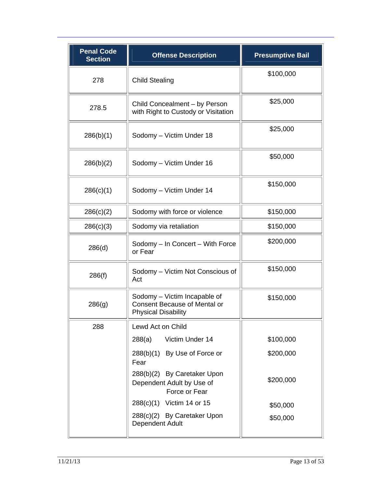| <b>Penal Code</b><br><b>Section</b> | <b>Offense Description</b>                                                                        | <b>Presumptive Bail</b> |
|-------------------------------------|---------------------------------------------------------------------------------------------------|-------------------------|
| 278                                 | <b>Child Stealing</b>                                                                             | \$100,000               |
| 278.5                               | Child Concealment - by Person<br>with Right to Custody or Visitation                              | \$25,000                |
| 286(b)(1)                           | Sodomy - Victim Under 18                                                                          | \$25,000                |
| 286(b)(2)                           | Sodomy - Victim Under 16                                                                          | \$50,000                |
| 286(c)(1)                           | Sodomy - Victim Under 14                                                                          | \$150,000               |
| 286(c)(2)                           | Sodomy with force or violence                                                                     | \$150,000               |
| 286(c)(3)                           | Sodomy via retaliation                                                                            | \$150,000               |
| 286(d)                              | Sodomy - In Concert - With Force<br>or Fear                                                       | \$200,000               |
| 286(f)                              | Sodomy - Victim Not Conscious of<br>Act                                                           | \$150,000               |
| 286(g)                              | Sodomy - Victim Incapable of<br><b>Consent Because of Mental or</b><br><b>Physical Disability</b> | \$150,000               |
| 288                                 | Lewd Act on Child                                                                                 |                         |
|                                     | Victim Under 14<br>288(a)                                                                         | \$100,000               |
|                                     | 288(b)(1) By Use of Force or<br>Fear                                                              | \$200,000               |
|                                     | 288(b)(2) By Caretaker Upon<br>Dependent Adult by Use of<br>Force or Fear                         | \$200,000               |
|                                     | 288(c)(1) Victim 14 or 15                                                                         | \$50,000                |
|                                     | 288(c)(2) By Caretaker Upon<br>Dependent Adult                                                    | \$50,000                |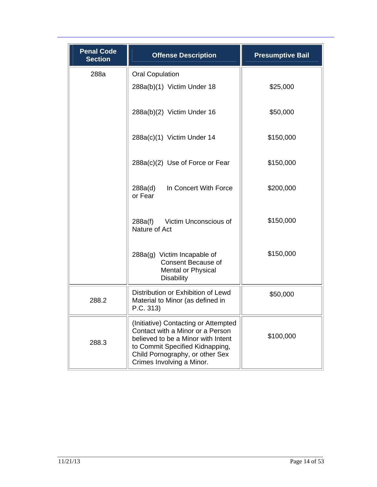| <b>Penal Code</b><br><b>Section</b> | <b>Offense Description</b>                                                                                                                                                                                        | <b>Presumptive Bail</b> |
|-------------------------------------|-------------------------------------------------------------------------------------------------------------------------------------------------------------------------------------------------------------------|-------------------------|
| 288a                                | <b>Oral Copulation</b>                                                                                                                                                                                            |                         |
|                                     | 288a(b)(1) Victim Under 18                                                                                                                                                                                        | \$25,000                |
|                                     | 288a(b)(2) Victim Under 16                                                                                                                                                                                        | \$50,000                |
|                                     | 288a(c)(1) Victim Under 14                                                                                                                                                                                        | \$150,000               |
|                                     | 288a(c)(2) Use of Force or Fear                                                                                                                                                                                   | \$150,000               |
|                                     | In Concert With Force<br>288a(d)<br>or Fear                                                                                                                                                                       | \$200,000               |
|                                     | Victim Unconscious of<br>288a(f)<br>Nature of Act                                                                                                                                                                 | \$150,000               |
|                                     | 288a(g) Victim Incapable of<br><b>Consent Because of</b><br><b>Mental or Physical</b><br><b>Disability</b>                                                                                                        | \$150,000               |
| 288.2                               | Distribution or Exhibition of Lewd<br>Material to Minor (as defined in<br>P.C. 313)                                                                                                                               | \$50,000                |
| 288.3                               | (Initiative) Contacting or Attempted<br>Contact with a Minor or a Person<br>believed to be a Minor with Intent<br>to Commit Specified Kidnapping,<br>Child Pornography, or other Sex<br>Crimes Involving a Minor. | \$100,000               |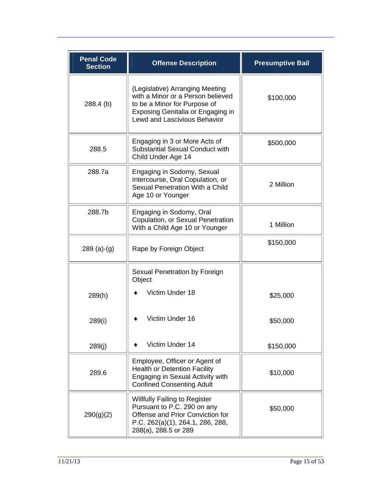| <b>Penal Code</b><br><b>Section</b> | <b>Offense Description</b>                                                                                                                                                       | <b>Presumptive Bail</b> |
|-------------------------------------|----------------------------------------------------------------------------------------------------------------------------------------------------------------------------------|-------------------------|
| 288.4 (b)                           | (Legislative) Arranging Meeting<br>with a Minor or a Person believed<br>to be a Minor for Purpose of<br>Exposing Genitalia or Engaging in<br><b>Lewd and Lascivious Behavior</b> | \$100,000               |
| 288.5                               | Engaging in 3 or More Acts of<br><b>Substantial Sexual Conduct with</b><br>Child Under Age 14                                                                                    | \$500,000               |
| 288.7a                              | Engaging in Sodomy, Sexual<br>Intercourse, Oral Copulation, or<br>Sexual Penetration With a Child<br>Age 10 or Younger                                                           | 2 Million               |
| 288.7b                              | Engaging in Sodomy, Oral<br>Copulation, or Sexual Penetration<br>With a Child Age 10 or Younger                                                                                  | 1 Million               |
| $289(a)-(g)$                        | Rape by Foreign Object                                                                                                                                                           | \$150,000               |
|                                     | Sexual Penetration by Foreign<br>Object                                                                                                                                          |                         |
| 289(h)                              | Victim Under 18                                                                                                                                                                  | \$25,000                |
| 289(i)                              | Victim Under 16                                                                                                                                                                  | \$50,000                |
| 289(i)                              | Victim Under 14                                                                                                                                                                  | \$150,000               |
| 289.6                               | Employee, Officer or Agent of<br><b>Health or Detention Facility</b><br>Engaging in Sexual Activity with<br><b>Confined Consenting Adult</b>                                     | \$10,000                |
| 290(g)(2)                           | <b>Willfully Failing to Register</b><br>Pursuant to P.C. 290 on any<br>Offense and Prior Conviction for<br>P.C. 262(a)(1), 264.1, 286, 288,<br>288(a), 288.5 or 289              | \$50,000                |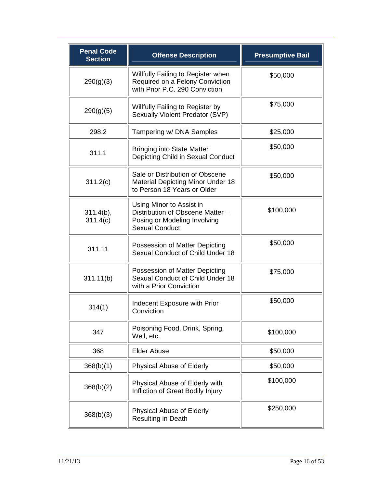| <b>Penal Code</b><br><b>Section</b> | <b>Offense Description</b>                                                                                            | <b>Presumptive Bail</b> |
|-------------------------------------|-----------------------------------------------------------------------------------------------------------------------|-------------------------|
| 290(g)(3)                           | Willfully Failing to Register when<br>Required on a Felony Conviction<br>with Prior P.C. 290 Conviction               | \$50,000                |
| 290(g)(5)                           | Willfully Failing to Register by<br>Sexually Violent Predator (SVP)                                                   | \$75,000                |
| 298.2                               | Tampering w/ DNA Samples                                                                                              | \$25,000                |
| 311.1                               | <b>Bringing into State Matter</b><br>Depicting Child in Sexual Conduct                                                | \$50,000                |
| 311.2(c)                            | Sale or Distribution of Obscene<br><b>Material Depicting Minor Under 18</b><br>to Person 18 Years or Older            | \$50,000                |
| $311.4(b)$ ,<br>311.4(c)            | Using Minor to Assist in<br>Distribution of Obscene Matter -<br>Posing or Modeling Involving<br><b>Sexual Conduct</b> | \$100,000               |
| 311.11                              | Possession of Matter Depicting<br>Sexual Conduct of Child Under 18                                                    | \$50,000                |
| 311.11(b)                           | Possession of Matter Depicting<br>Sexual Conduct of Child Under 18<br>with a Prior Conviction                         | \$75,000                |
| 314(1)                              | Indecent Exposure with Prior<br>Conviction                                                                            | \$50,000                |
| 347                                 | Poisoning Food, Drink, Spring,<br>Well, etc.                                                                          | \$100,000               |
| 368                                 | <b>Elder Abuse</b>                                                                                                    | \$50,000                |
| 368(b)(1)                           | Physical Abuse of Elderly                                                                                             | \$50,000                |
| 368(b)(2)                           | Physical Abuse of Elderly with<br>Infliction of Great Bodily Injury                                                   | \$100,000               |
| 368(b)(3)                           | <b>Physical Abuse of Elderly</b><br>Resulting in Death                                                                | \$250,000               |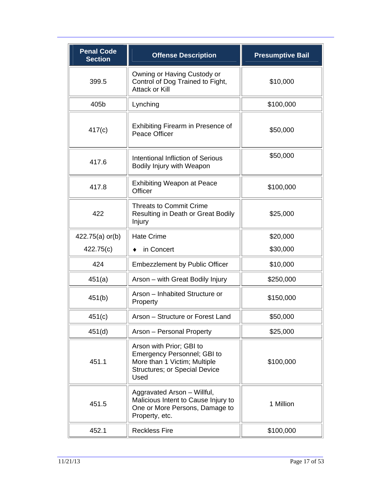| <b>Penal Code</b><br><b>Section</b> | <b>Offense Description</b>                                                                                                                     | <b>Presumptive Bail</b> |
|-------------------------------------|------------------------------------------------------------------------------------------------------------------------------------------------|-------------------------|
| 399.5                               | Owning or Having Custody or<br>Control of Dog Trained to Fight,<br><b>Attack or Kill</b>                                                       | \$10,000                |
| 405b                                | Lynching                                                                                                                                       | \$100,000               |
| 417(c)                              | Exhibiting Firearm in Presence of<br>Peace Officer                                                                                             | \$50,000                |
| 417.6                               | Intentional Infliction of Serious<br>Bodily Injury with Weapon                                                                                 | \$50,000                |
| 417.8                               | <b>Exhibiting Weapon at Peace</b><br>Officer                                                                                                   | \$100,000               |
| 422                                 | <b>Threats to Commit Crime</b><br>Resulting in Death or Great Bodily<br>Injury                                                                 | \$25,000                |
| 422.75(a) or(b)                     | <b>Hate Crime</b>                                                                                                                              | \$20,000                |
| 422.75(c)                           | in Concert                                                                                                                                     | \$30,000                |
| 424                                 | <b>Embezzlement by Public Officer</b>                                                                                                          | \$10,000                |
| 451(a)                              | Arson - with Great Bodily Injury                                                                                                               | \$250,000               |
| 451(b)                              | Arson - Inhabited Structure or<br>Property                                                                                                     | \$150,000               |
| 451(c)                              | Arson - Structure or Forest Land                                                                                                               | \$50,000                |
| 451(d)                              | Arson - Personal Property                                                                                                                      | \$25,000                |
| 451.1                               | Arson with Prior; GBI to<br><b>Emergency Personnel; GBI to</b><br>More than 1 Victim; Multiple<br><b>Structures; or Special Device</b><br>Used | \$100,000               |
| 451.5                               | Aggravated Arson - Willful,<br>Malicious Intent to Cause Injury to<br>One or More Persons, Damage to<br>Property, etc.                         | 1 Million               |
| 452.1                               | <b>Reckless Fire</b>                                                                                                                           | \$100,000               |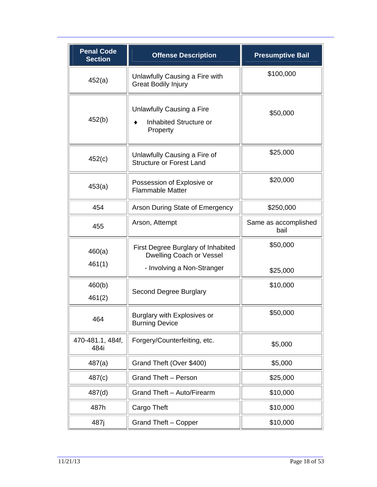| <b>Penal Code</b><br><b>Section</b> | <b>Offense Description</b>                                            | <b>Presumptive Bail</b>      |
|-------------------------------------|-----------------------------------------------------------------------|------------------------------|
| 452(a)                              | Unlawfully Causing a Fire with<br><b>Great Bodily Injury</b>          | \$100,000                    |
| 452(b)                              | Unlawfully Causing a Fire<br>Inhabited Structure or<br>Property       | \$50,000                     |
| 452(c)                              | Unlawfully Causing a Fire of<br><b>Structure or Forest Land</b>       | \$25,000                     |
| 453(a)                              | Possession of Explosive or<br><b>Flammable Matter</b>                 | \$20,000                     |
| 454                                 | Arson During State of Emergency                                       | \$250,000                    |
| 455                                 | Arson, Attempt                                                        | Same as accomplished<br>bail |
| 460(a)<br>461(1)                    | First Degree Burglary of Inhabited<br><b>Dwelling Coach or Vessel</b> | \$50,000                     |
|                                     | - Involving a Non-Stranger                                            | \$25,000                     |
| 460(b)<br>461(2)                    | Second Degree Burglary                                                | \$10,000                     |
| 464                                 | Burglary with Explosives or<br><b>Burning Device</b>                  | \$50,000                     |
| 470-481.1, 484f,<br>484i            | Forgery/Counterfeiting, etc.                                          | \$5,000                      |
| 487(a)                              | Grand Theft (Over \$400)                                              | \$5,000                      |
| 487(c)                              | <b>Grand Theft - Person</b>                                           | \$25,000                     |
| 487(d)                              | Grand Theft - Auto/Firearm                                            | \$10,000                     |
| 487h                                | Cargo Theft                                                           | \$10,000                     |
| 487j                                | Grand Theft - Copper                                                  | \$10,000                     |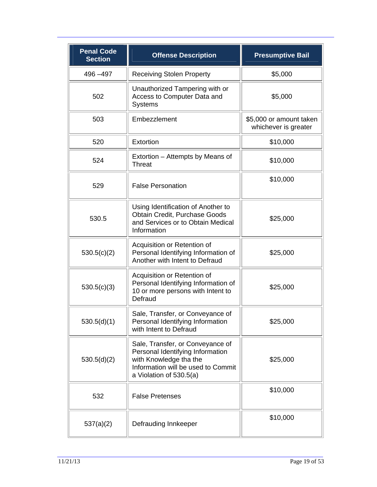| <b>Penal Code</b><br><b>Section</b> | <b>Offense Description</b>                                                                                                                                      | <b>Presumptive Bail</b>                         |
|-------------------------------------|-----------------------------------------------------------------------------------------------------------------------------------------------------------------|-------------------------------------------------|
| 496 - 497                           | <b>Receiving Stolen Property</b>                                                                                                                                | \$5,000                                         |
| 502                                 | Unauthorized Tampering with or<br>Access to Computer Data and<br><b>Systems</b>                                                                                 | \$5,000                                         |
| 503                                 | Embezzlement                                                                                                                                                    | \$5,000 or amount taken<br>whichever is greater |
| 520                                 | Extortion                                                                                                                                                       | \$10,000                                        |
| 524                                 | Extortion – Attempts by Means of<br><b>Threat</b>                                                                                                               | \$10,000                                        |
| 529                                 | <b>False Personation</b>                                                                                                                                        | \$10,000                                        |
| 530.5                               | Using Identification of Another to<br>Obtain Credit, Purchase Goods<br>and Services or to Obtain Medical<br>Information                                         | \$25,000                                        |
| 530.5(c)(2)                         | Acquisition or Retention of<br>Personal Identifying Information of<br>Another with Intent to Defraud                                                            | \$25,000                                        |
| 530.5(c)(3)                         | Acquisition or Retention of<br>Personal Identifying Information of<br>10 or more persons with Intent to<br>Defraud                                              | \$25,000                                        |
| 530.5(d)(1)                         | Sale, Transfer, or Conveyance of<br>Personal Identifying Information<br>with Intent to Defraud                                                                  | \$25,000                                        |
| 530.5(d)(2)                         | Sale, Transfer, or Conveyance of<br>Personal Identifying Information<br>with Knowledge tha the<br>Information will be used to Commit<br>a Violation of 530.5(a) | \$25,000                                        |
| 532                                 | <b>False Pretenses</b>                                                                                                                                          | \$10,000                                        |
| 537(a)(2)                           | Defrauding Innkeeper                                                                                                                                            | \$10,000                                        |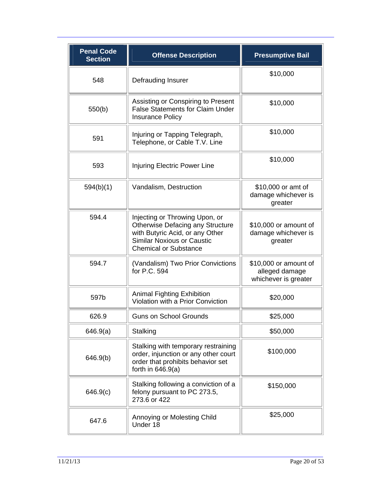| <b>Penal Code</b><br><b>Section</b> | <b>Offense Description</b>                                                                                                                                                 | <b>Presumptive Bail</b>                                         |
|-------------------------------------|----------------------------------------------------------------------------------------------------------------------------------------------------------------------------|-----------------------------------------------------------------|
| 548                                 | Defrauding Insurer                                                                                                                                                         | \$10,000                                                        |
| 550(b)                              | Assisting or Conspiring to Present<br><b>False Statements for Claim Under</b><br><b>Insurance Policy</b>                                                                   | \$10,000                                                        |
| 591                                 | Injuring or Tapping Telegraph,<br>Telephone, or Cable T.V. Line                                                                                                            | \$10,000                                                        |
| 593                                 | <b>Injuring Electric Power Line</b>                                                                                                                                        | \$10,000                                                        |
| 594(b)(1)                           | Vandalism, Destruction                                                                                                                                                     | \$10,000 or amt of<br>damage whichever is<br>greater            |
| 594.4                               | Injecting or Throwing Upon, or<br>Otherwise Defacing any Structure<br>with Butyric Acid, or any Other<br><b>Similar Noxious or Caustic</b><br><b>Chemical or Substance</b> | \$10,000 or amount of<br>damage whichever is<br>greater         |
| 594.7                               | (Vandalism) Two Prior Convictions<br>for P.C. 594                                                                                                                          | \$10,000 or amount of<br>alleged damage<br>whichever is greater |
| 597b                                | <b>Animal Fighting Exhibition</b><br>Violation with a Prior Conviction                                                                                                     | \$20,000                                                        |
| 626.9                               | <b>Guns on School Grounds</b>                                                                                                                                              | \$25,000                                                        |
| 646.9(a)                            | Stalking                                                                                                                                                                   | \$50,000                                                        |
| 646.9(b)                            | Stalking with temporary restraining<br>order, injunction or any other court<br>order that prohibits behavior set<br>forth in $646.9(a)$                                    | \$100,000                                                       |
| 646.9(c)                            | Stalking following a conviction of a<br>felony pursuant to PC 273.5,<br>273.6 or 422                                                                                       | \$150,000                                                       |
| 647.6                               | Annoying or Molesting Child<br>Under 18                                                                                                                                    | \$25,000                                                        |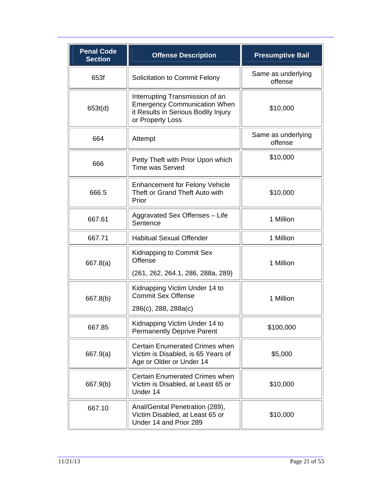| <b>Penal Code</b><br><b>Section</b> | <b>Offense Description</b>                                                                                                        | <b>Presumptive Bail</b>       |
|-------------------------------------|-----------------------------------------------------------------------------------------------------------------------------------|-------------------------------|
| 653f                                | Solicitation to Commit Felony                                                                                                     | Same as underlying<br>offense |
| 653t(d)                             | Interrupting Transmission of an<br><b>Emergency Communication When</b><br>it Results in Serious Bodily Injury<br>or Property Loss | \$10,000                      |
| 664                                 | Attempt                                                                                                                           | Same as underlying<br>offense |
| 666                                 | Petty Theft with Prior Upon which<br><b>Time was Served</b>                                                                       | \$10,000                      |
| 666.5                               | <b>Enhancement for Felony Vehicle</b><br>Theft or Grand Theft Auto with<br>Prior                                                  | \$10,000                      |
| 667.61                              | Aggravated Sex Offenses - Life<br>Sentence                                                                                        | 1 Million                     |
| 667.71                              | <b>Habitual Sexual Offender</b>                                                                                                   | 1 Million                     |
| 667.8(a)                            | Kidnapping to Commit Sex<br>Offense                                                                                               | 1 Million                     |
|                                     | (261, 262, 264.1, 286, 288a, 289)                                                                                                 |                               |
| 667.8(b)                            | Kidnapping Victim Under 14 to<br><b>Commit Sex Offense</b>                                                                        | 1 Million                     |
|                                     | 286(c), 288, 288a(c)                                                                                                              |                               |
| 667.85                              | Kidnapping Victim Under 14 to<br><b>Permanently Deprive Parent</b>                                                                | \$100,000                     |
| 667.9(a)                            | Certain Enumerated Crimes when<br>Victim is Disabled, is 65 Years of<br>Age or Older or Under 14                                  | \$5,000                       |
| 667.9(b)                            | <b>Certain Enumerated Crimes when</b><br>Victim is Disabled, at Least 65 or<br>Under 14                                           | \$10,000                      |
| 667.10                              | Anal/Genital Penetration (289),<br>Victim Disabled, at Least 65 or<br>Under 14 and Prior 289                                      | \$10,000                      |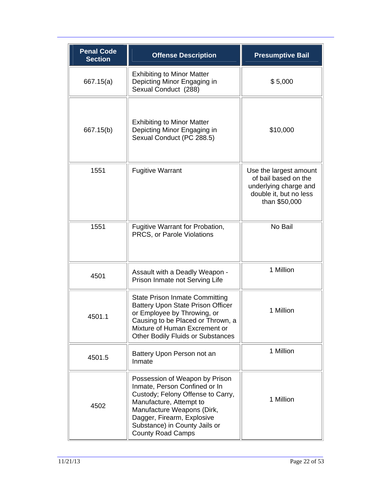| <b>Penal Code</b><br><b>Section</b> | <b>Offense Description</b>                                                                                                                                                                                                                               | <b>Presumptive Bail</b>                                                                                            |
|-------------------------------------|----------------------------------------------------------------------------------------------------------------------------------------------------------------------------------------------------------------------------------------------------------|--------------------------------------------------------------------------------------------------------------------|
| 667.15(a)                           | <b>Exhibiting to Minor Matter</b><br>Depicting Minor Engaging in<br>Sexual Conduct (288)                                                                                                                                                                 | \$5,000                                                                                                            |
| 667.15(b)                           | <b>Exhibiting to Minor Matter</b><br>Depicting Minor Engaging in<br>Sexual Conduct (PC 288.5)                                                                                                                                                            | \$10,000                                                                                                           |
| 1551                                | <b>Fugitive Warrant</b>                                                                                                                                                                                                                                  | Use the largest amount<br>of bail based on the<br>underlying charge and<br>double it, but no less<br>than \$50,000 |
| 1551                                | Fugitive Warrant for Probation,<br>PRCS, or Parole Violations                                                                                                                                                                                            | No Bail                                                                                                            |
| 4501                                | Assault with a Deadly Weapon -<br>Prison Inmate not Serving Life                                                                                                                                                                                         | 1 Million                                                                                                          |
| 4501.1                              | <b>State Prison Inmate Committing</b><br><b>Battery Upon State Prison Officer</b><br>or Employee by Throwing, or<br>Causing to be Placed or Thrown, a<br>Mixture of Human Excrement or<br><b>Other Bodily Fluids or Substances</b>                       | 1 Million                                                                                                          |
| 4501.5                              | Battery Upon Person not an<br>Inmate                                                                                                                                                                                                                     | 1 Million                                                                                                          |
| 4502                                | Possession of Weapon by Prison<br>Inmate, Person Confined or In<br>Custody; Felony Offense to Carry,<br>Manufacture, Attempt to<br>Manufacture Weapons (Dirk,<br>Dagger, Firearm, Explosive<br>Substance) in County Jails or<br><b>County Road Camps</b> | 1 Million                                                                                                          |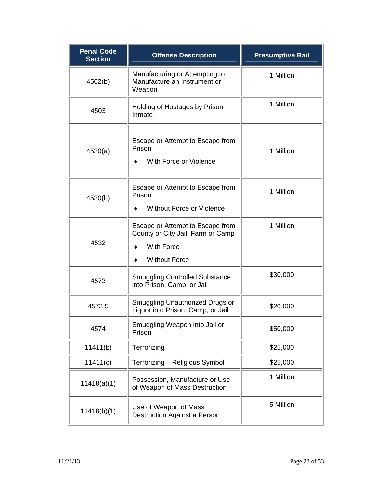| <b>Penal Code</b><br><b>Section</b> | <b>Offense Description</b>                                                                                         | <b>Presumptive Bail</b> |
|-------------------------------------|--------------------------------------------------------------------------------------------------------------------|-------------------------|
| 4502(b)                             | Manufacturing or Attempting to<br>Manufacture an Instrument or<br>Weapon                                           | 1 Million               |
| 4503                                | Holding of Hostages by Prison<br>Inmate                                                                            | 1 Million               |
| 4530(a)                             | Escape or Attempt to Escape from<br>Prison<br>With Force or Violence                                               | 1 Million               |
| 4530(b)                             | Escape or Attempt to Escape from<br>Prison<br>Without Force or Violence                                            | 1 Million               |
| 4532                                | Escape or Attempt to Escape from<br>County or City Jail, Farm or Camp<br><b>With Force</b><br><b>Without Force</b> | 1 Million               |
| 4573                                | <b>Smuggling Controlled Substance</b><br>into Prison, Camp, or Jail                                                | \$30,000                |
| 4573.5                              | Smuggling Unauthorized Drugs or<br>Liquor into Prison, Camp, or Jail                                               | \$20,000                |
| 4574                                | Smuggling Weapon into Jail or<br>Prison                                                                            | \$50,000                |
| 11411(b)                            | Terrorizing                                                                                                        | \$25,000                |
| 11411(c)                            | Terrorizing - Religious Symbol                                                                                     | \$25,000                |
| 11418(a)(1)                         | Possession, Manufacture or Use<br>of Weapon of Mass Destruction                                                    | 1 Million               |
| 11418(b)(1)                         | Use of Weapon of Mass<br>Destruction Against a Person                                                              | 5 Million               |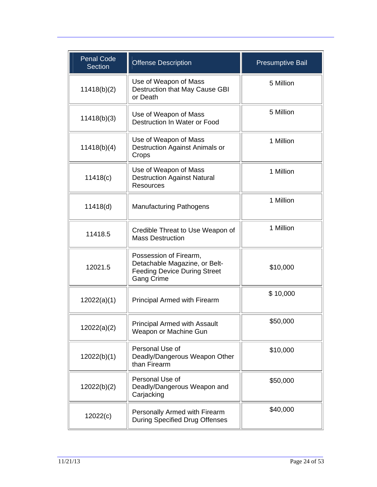| <b>Penal Code</b><br><b>Section</b> | Offense Description                                                                                                 | <b>Presumptive Bail</b> |
|-------------------------------------|---------------------------------------------------------------------------------------------------------------------|-------------------------|
| 11418(b)(2)                         | Use of Weapon of Mass<br>Destruction that May Cause GBI<br>or Death                                                 | 5 Million               |
| 11418(b)(3)                         | Use of Weapon of Mass<br>Destruction In Water or Food                                                               | 5 Million               |
| 11418(b)(4)                         | Use of Weapon of Mass<br><b>Destruction Against Animals or</b><br>Crops                                             | 1 Million               |
| 11418(c)                            | Use of Weapon of Mass<br><b>Destruction Against Natural</b><br><b>Resources</b>                                     | 1 Million               |
| 11418(d)                            | <b>Manufacturing Pathogens</b>                                                                                      | 1 Million               |
| 11418.5                             | Credible Threat to Use Weapon of<br><b>Mass Destruction</b>                                                         | 1 Million               |
| 12021.5                             | Possession of Firearm,<br>Detachable Magazine, or Belt-<br><b>Feeding Device During Street</b><br><b>Gang Crime</b> | \$10,000                |
| 12022(a)(1)                         | Principal Armed with Firearm                                                                                        | \$10,000                |
| 12022(a)(2)                         | <b>Principal Armed with Assault</b><br>Weapon or Machine Gun                                                        | \$50,000                |
| 12022(b)(1)                         | Personal Use of<br>Deadly/Dangerous Weapon Other<br>than Firearm                                                    | \$10,000                |
| 12022(b)(2)                         | Personal Use of<br>Deadly/Dangerous Weapon and<br>Carjacking                                                        | \$50,000                |
| 12022(c)                            | Personally Armed with Firearm<br><b>During Specified Drug Offenses</b>                                              | \$40,000                |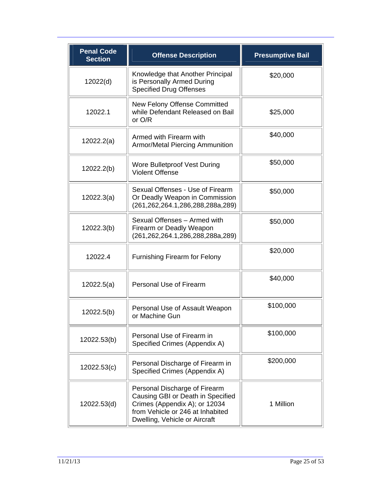| <b>Penal Code</b><br><b>Section</b> | <b>Offense Description</b>                                                                                                                                               | <b>Presumptive Bail</b> |
|-------------------------------------|--------------------------------------------------------------------------------------------------------------------------------------------------------------------------|-------------------------|
| 12022(d)                            | Knowledge that Another Principal<br>is Personally Armed During<br><b>Specified Drug Offenses</b>                                                                         | \$20,000                |
| 12022.1                             | New Felony Offense Committed<br>while Defendant Released on Bail<br>or O/R                                                                                               | \$25,000                |
| 12022.2(a)                          | Armed with Firearm with<br><b>Armor/Metal Piercing Ammunition</b>                                                                                                        | \$40,000                |
| 12022.2(b)                          | <b>Wore Bulletproof Vest During</b><br><b>Violent Offense</b>                                                                                                            | \$50,000                |
| 12022.3(a)                          | Sexual Offenses - Use of Firearm<br>Or Deadly Weapon in Commission<br>(261,262,264.1,286,288,288a,289)                                                                   | \$50,000                |
| 12022.3(b)                          | Sexual Offenses - Armed with<br>Firearm or Deadly Weapon<br>(261,262,264.1,286,288,288a,289)                                                                             | \$50,000                |
| 12022.4                             | <b>Furnishing Firearm for Felony</b>                                                                                                                                     | \$20,000                |
| 12022.5(a)                          | Personal Use of Firearm                                                                                                                                                  | \$40,000                |
| 12022.5(b)                          | Personal Use of Assault Weapon<br>or Machine Gun                                                                                                                         | \$100,000               |
| 12022.53(b)                         | Personal Use of Firearm in<br>Specified Crimes (Appendix A)                                                                                                              | \$100,000               |
| 12022.53(c)                         | Personal Discharge of Firearm in<br>Specified Crimes (Appendix A)                                                                                                        | \$200,000               |
| 12022.53(d)                         | Personal Discharge of Firearm<br>Causing GBI or Death in Specified<br>Crimes (Appendix A); or 12034<br>from Vehicle or 246 at Inhabited<br>Dwelling, Vehicle or Aircraft | 1 Million               |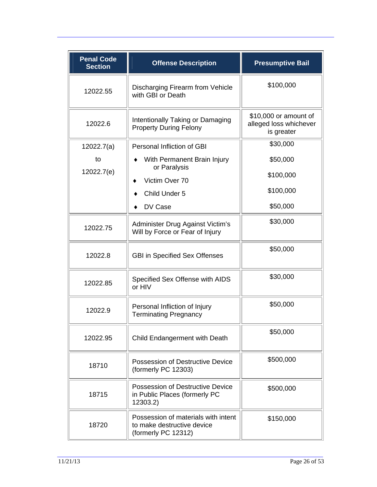| <b>Penal Code</b><br><b>Section</b> | <b>Offense Description</b>                                                               | <b>Presumptive Bail</b>                                       |
|-------------------------------------|------------------------------------------------------------------------------------------|---------------------------------------------------------------|
| 12022.55                            | Discharging Firearm from Vehicle<br>with GBI or Death                                    | \$100,000                                                     |
| 12022.6                             | Intentionally Taking or Damaging<br><b>Property During Felony</b>                        | \$10,000 or amount of<br>alleged loss whichever<br>is greater |
| 12022.7(a)                          | Personal Infliction of GBI                                                               | \$30,000                                                      |
| to                                  | With Permanent Brain Injury                                                              | \$50,000                                                      |
| 12022.7(e)                          | or Paralysis<br>Victim Over 70                                                           | \$100,000                                                     |
|                                     | Child Under 5                                                                            | \$100,000                                                     |
|                                     | DV Case                                                                                  | \$50,000                                                      |
| 12022.75                            | Administer Drug Against Victim's<br>Will by Force or Fear of Injury                      | \$30,000                                                      |
| 12022.8                             | <b>GBI in Specified Sex Offenses</b>                                                     | \$50,000                                                      |
| 12022.85                            | Specified Sex Offense with AIDS<br>or HIV                                                | \$30,000                                                      |
| 12022.9                             | Personal Infliction of Injury<br><b>Terminating Pregnancy</b>                            | \$50,000                                                      |
| 12022.95                            | Child Endangerment with Death                                                            | \$50,000                                                      |
| 18710                               | Possession of Destructive Device<br>(formerly PC 12303)                                  | \$500,000                                                     |
| 18715                               | Possession of Destructive Device<br>in Public Places (formerly PC<br>12303.2)            | \$500,000                                                     |
| 18720                               | Possession of materials with intent<br>to make destructive device<br>(formerly PC 12312) | \$150,000                                                     |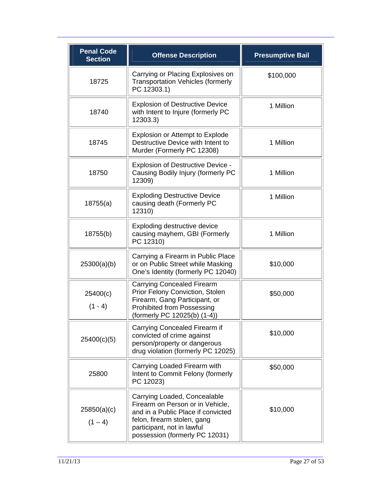| <b>Penal Code</b><br><b>Section</b> | <b>Offense Description</b>                                                                                                                                                                            | <b>Presumptive Bail</b> |
|-------------------------------------|-------------------------------------------------------------------------------------------------------------------------------------------------------------------------------------------------------|-------------------------|
| 18725                               | Carrying or Placing Explosives on<br><b>Transportation Vehicles (formerly</b><br>PC 12303.1)                                                                                                          | \$100,000               |
| 18740                               | <b>Explosion of Destructive Device</b><br>with Intent to Injure (formerly PC<br>12303.3)                                                                                                              | 1 Million               |
| 18745                               | <b>Explosion or Attempt to Explode</b><br>Destructive Device with Intent to<br>Murder (Formerly PC 12308)                                                                                             | 1 Million               |
| 18750                               | <b>Explosion of Destructive Device -</b><br>Causing Bodily Injury (formerly PC<br>12309)                                                                                                              | 1 Million               |
| 18755(a)                            | <b>Exploding Destructive Device</b><br>causing death (Formerly PC<br>12310)                                                                                                                           | 1 Million               |
| 18755(b)                            | Exploding destructive device<br>causing mayhem, GBI (Formerly<br>PC 12310)                                                                                                                            | 1 Million               |
| 25300(a)(b)                         | Carrying a Firearm in Public Place<br>or on Public Street while Masking<br>One's Identity (formerly PC 12040)                                                                                         | \$10,000                |
| 25400(c)<br>$(1 - 4)$               | <b>Carrying Concealed Firearm</b><br>Prior Felony Conviction, Stolen<br>Firearm, Gang Participant, or<br><b>Prohibited from Possessing</b><br>(formerly PC 12025(b) (1-4))                            | \$50,000                |
| 25400(c)(5)                         | Carrying Concealed Firearm if<br>convicted of crime against<br>person/property or dangerous<br>drug violation (formerly PC 12025)                                                                     | \$10,000                |
| 25800                               | Carrying Loaded Firearm with<br>Intent to Commit Felony (formerly<br>PC 12023)                                                                                                                        | \$50,000                |
| 25850(a)(c)<br>$(1 - 4)$            | Carrying Loaded, Concealable<br>Firearm on Person or in Vehicle,<br>and in a Public Place if convicted<br>felon, firearm stolen, gang<br>participant, not in lawful<br>possession (formerly PC 12031) | \$10,000                |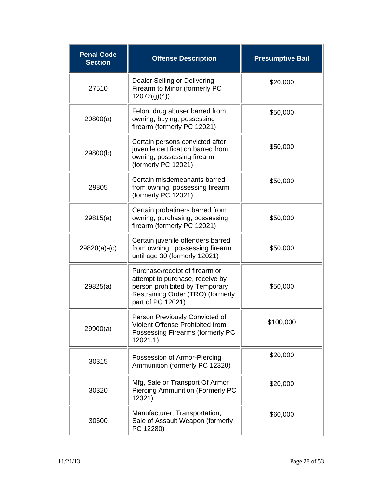| <b>Penal Code</b><br><b>Section</b> | <b>Offense Description</b>                                                                                                                                    | <b>Presumptive Bail</b> |
|-------------------------------------|---------------------------------------------------------------------------------------------------------------------------------------------------------------|-------------------------|
| 27510                               | Dealer Selling or Delivering<br>Firearm to Minor (formerly PC<br>12072(g)(4)                                                                                  | \$20,000                |
| 29800(a)                            | Felon, drug abuser barred from<br>owning, buying, possessing<br>firearm (formerly PC 12021)                                                                   | \$50,000                |
| 29800(b)                            | Certain persons convicted after<br>juvenile certification barred from<br>owning, possessing firearm<br>(formerly PC 12021)                                    | \$50,000                |
| 29805                               | Certain misdemeanants barred<br>from owning, possessing firearm<br>(formerly PC 12021)                                                                        | \$50,000                |
| 29815(a)                            | Certain probatiners barred from<br>owning, purchasing, possessing<br>firearm (formerly PC 12021)                                                              | \$50,000                |
| $29820(a)-(c)$                      | Certain juvenile offenders barred<br>from owning, possessing firearm<br>until age 30 (formerly 12021)                                                         | \$50,000                |
| 29825(a)                            | Purchase/receipt of firearm or<br>attempt to purchase, receive by<br>person prohibited by Temporary<br>Restraining Order (TRO) (formerly<br>part of PC 12021) | \$50,000                |
| 29900(a)                            | Person Previously Convicted of<br>Violent Offense Prohibited from<br>Possessing Firearms (formerly PC<br>12021.1                                              | \$100,000               |
| 30315                               | Possession of Armor-Piercing<br>Ammunition (formerly PC 12320)                                                                                                | \$20,000                |
| 30320                               | Mfg, Sale or Transport Of Armor<br><b>Piercing Ammunition (Formerly PC</b><br>12321)                                                                          | \$20,000                |
| 30600                               | Manufacturer, Transportation,<br>Sale of Assault Weapon (formerly<br>PC 12280)                                                                                | \$60,000                |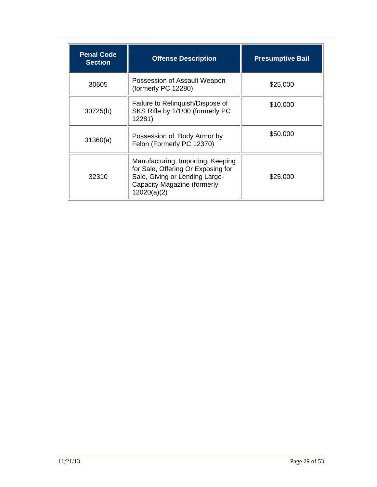| <b>Penal Code</b><br><b>Section</b> | <b>Offense Description</b>                                                                                                                              | <b>Presumptive Bail</b> |
|-------------------------------------|---------------------------------------------------------------------------------------------------------------------------------------------------------|-------------------------|
| 30605                               | Possession of Assault Weapon<br>(formerly PC 12280)                                                                                                     | \$25,000                |
| 30725(b)                            | Failure to Relinguish/Dispose of<br>SKS Rifle by 1/1/00 (formerly PC<br>12281)                                                                          | \$10,000                |
| 31360(a)                            | Possession of Body Armor by<br>Felon (Formerly PC 12370)                                                                                                | \$50,000                |
| 32310                               | Manufacturing, Importing, Keeping<br>for Sale, Offering Or Exposing for<br>Sale, Giving or Lending Large-<br>Capacity Magazine (formerly<br>12020(a)(2) | \$25,000                |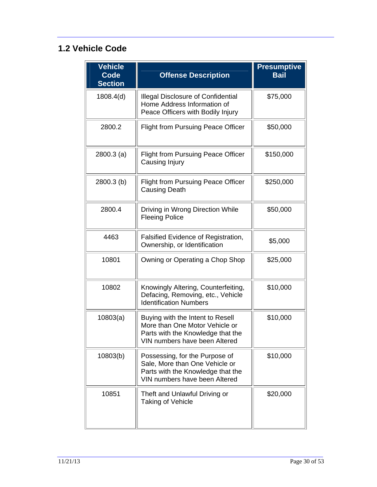### **1.2 Vehicle Code**

| Vehicle<br><b>Code</b><br><b>Section</b> | <b>Offense Description</b>                                                                                                               | <b>Presumptive</b><br><b>Bail</b> |
|------------------------------------------|------------------------------------------------------------------------------------------------------------------------------------------|-----------------------------------|
| 1808.4(d)                                | <b>Illegal Disclosure of Confidential</b><br>Home Address Information of<br>Peace Officers with Bodily Injury                            | \$75,000                          |
| 2800.2                                   | <b>Flight from Pursuing Peace Officer</b>                                                                                                | \$50,000                          |
| $2800.3$ (a)                             | <b>Flight from Pursuing Peace Officer</b><br>Causing Injury                                                                              | \$150,000                         |
| 2800.3 (b)                               | <b>Flight from Pursuing Peace Officer</b><br><b>Causing Death</b>                                                                        | \$250,000                         |
| 2800.4                                   | Driving in Wrong Direction While<br><b>Fleeing Police</b>                                                                                | \$50,000                          |
| 4463                                     | Falsified Evidence of Registration,<br>Ownership, or Identification                                                                      | \$5,000                           |
| 10801                                    | Owning or Operating a Chop Shop                                                                                                          | \$25,000                          |
| 10802                                    | Knowingly Altering, Counterfeiting,<br>Defacing, Removing, etc., Vehicle<br><b>Identification Numbers</b>                                | \$10,000                          |
| 10803(a)                                 | Buying with the Intent to Resell<br>More than One Motor Vehicle or<br>Parts with the Knowledge that the<br>VIN numbers have been Altered | \$10,000                          |
| 10803(b)                                 | Possessing, for the Purpose of<br>Sale, More than One Vehicle or<br>Parts with the Knowledge that the<br>VIN numbers have been Altered   | \$10,000                          |
| 10851                                    | Theft and Unlawful Driving or<br><b>Taking of Vehicle</b>                                                                                | \$20,000                          |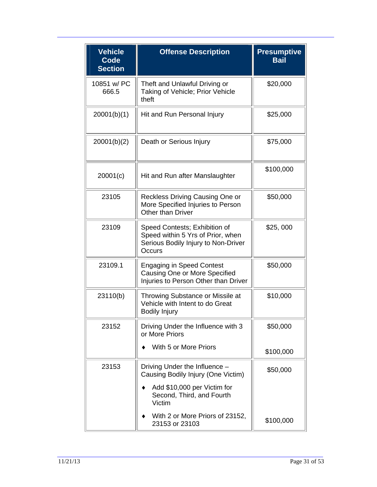| <b>Vehicle</b><br><b>Code</b><br><b>Section</b> | <b>Offense Description</b>                                                                                          | <b>Presumptive</b><br><b>Bail</b> |
|-------------------------------------------------|---------------------------------------------------------------------------------------------------------------------|-----------------------------------|
| 10851 w/ PC<br>666.5                            | Theft and Unlawful Driving or<br>Taking of Vehicle; Prior Vehicle<br>theft                                          | \$20,000                          |
| 20001(b)(1)                                     | Hit and Run Personal Injury                                                                                         | \$25,000                          |
| 20001(b)(2)                                     | Death or Serious Injury                                                                                             | \$75,000                          |
| 20001(c)                                        | Hit and Run after Manslaughter                                                                                      | \$100,000                         |
| 23105                                           | Reckless Driving Causing One or<br>More Specified Injuries to Person<br>Other than Driver                           | \$50,000                          |
| 23109                                           | Speed Contests; Exhibition of<br>Speed within 5 Yrs of Prior, when<br>Serious Bodily Injury to Non-Driver<br>Occurs | \$25,000                          |
| 23109.1                                         | <b>Engaging in Speed Contest</b><br>Causing One or More Specified<br>Injuries to Person Other than Driver           | \$50,000                          |
| 23110(b)                                        | Throwing Substance or Missile at<br>Vehicle with Intent to do Great<br><b>Bodily Injury</b>                         | \$10,000                          |
| 23152                                           | Driving Under the Influence with 3<br>or More Priors                                                                | \$50,000                          |
|                                                 | With 5 or More Priors                                                                                               | \$100,000                         |
| 23153                                           | Driving Under the Influence -<br>Causing Bodily Injury (One Victim)                                                 | \$50,000                          |
|                                                 | Add \$10,000 per Victim for<br>Second, Third, and Fourth<br>Victim                                                  |                                   |
|                                                 | With 2 or More Priors of 23152,<br>23153 or 23103                                                                   | \$100,000                         |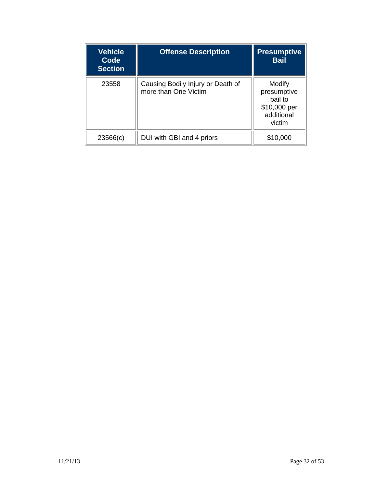| <b>Vehicle</b><br>Code<br><b>Section</b> | <b>Offense Description</b>                                | <b>Presumptive</b><br><b>Bail</b>                                        |
|------------------------------------------|-----------------------------------------------------------|--------------------------------------------------------------------------|
| 23558                                    | Causing Bodily Injury or Death of<br>more than One Victim | Modify<br>presumptive<br>bail to<br>\$10,000 per<br>additional<br>victim |
| 23566(c)                                 | DUI with GBI and 4 priors                                 | \$10,000                                                                 |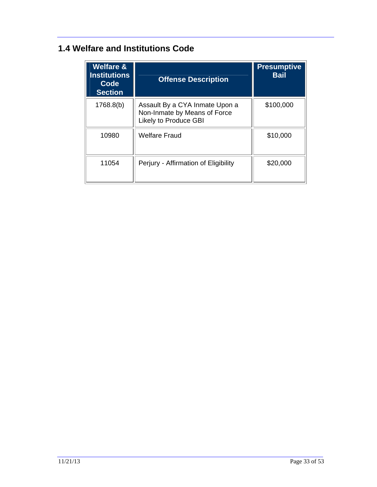### **1.4 Welfare and Institutions Code**

| <b>Welfare &amp;</b><br><b>Institutions</b><br>Code<br><b>Section</b> | <b>Offense Description</b>                                                              | <b>Presumptive</b><br><b>Bail</b> |
|-----------------------------------------------------------------------|-----------------------------------------------------------------------------------------|-----------------------------------|
| 1768.8(b)                                                             | Assault By a CYA Inmate Upon a<br>Non-Inmate by Means of Force<br>Likely to Produce GBI | \$100,000                         |
| 10980                                                                 | <b>Welfare Fraud</b>                                                                    | \$10,000                          |
| 11054                                                                 | Perjury - Affirmation of Eligibility                                                    | \$20,000                          |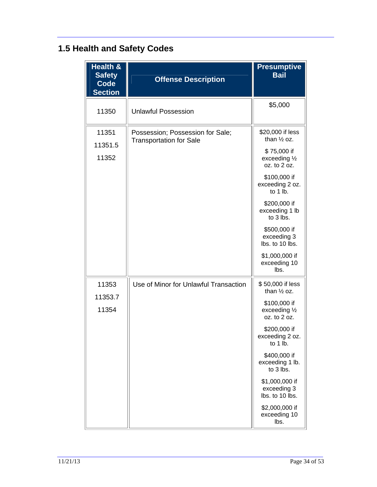# **1.5 Health and Safety Codes**

| <b>Health &amp;</b><br><b>Safety</b><br>Code<br><b>Section</b> | <b>Offense Description</b>                                         | <b>Presumptive</b><br><b>Bail</b>                                                                                                                                                                                                                              |
|----------------------------------------------------------------|--------------------------------------------------------------------|----------------------------------------------------------------------------------------------------------------------------------------------------------------------------------------------------------------------------------------------------------------|
| 11350                                                          | <b>Unlawful Possession</b>                                         | \$5,000                                                                                                                                                                                                                                                        |
| 11351<br>11351.5<br>11352                                      | Possession; Possession for Sale;<br><b>Transportation for Sale</b> | \$20,000 if less<br>than $\frac{1}{2}$ oz.<br>\$75,000 if<br>exceeding 1/2<br>oz. to 2 oz.<br>\$100,000 if<br>exceeding 2 oz.<br>to $1$ lb.<br>\$200,000 if<br>exceeding 1 lb<br>to 3 lbs.<br>\$500,000 if<br>exceeding 3<br>lbs. to 10 lbs.<br>\$1,000,000 if |
|                                                                |                                                                    | exceeding 10<br>lbs.                                                                                                                                                                                                                                           |
| 11353<br>11353.7                                               | Use of Minor for Unlawful Transaction                              | \$50,000 if less<br>than $\frac{1}{2}$ oz.<br>\$100,000 if                                                                                                                                                                                                     |
| 11354                                                          |                                                                    | exceeding 1/2<br>oz. to 2 oz.<br>\$200,000 if<br>exceeding 2 oz.<br>to 1 lb.                                                                                                                                                                                   |
|                                                                |                                                                    | \$400,000 if<br>exceeding 1 lb.<br>to 3 lbs.                                                                                                                                                                                                                   |
|                                                                |                                                                    | \$1,000,000 if<br>exceeding 3<br>lbs. to 10 lbs.                                                                                                                                                                                                               |
|                                                                |                                                                    | \$2,000,000 if<br>exceeding 10<br>lbs.                                                                                                                                                                                                                         |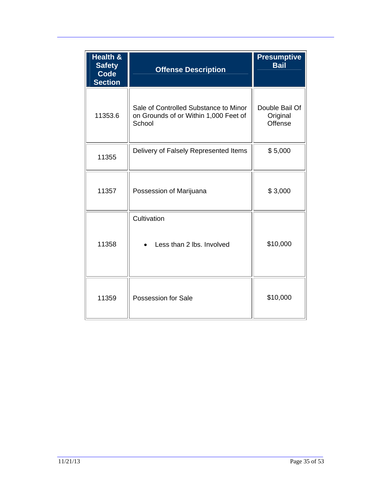| Health &<br><b>Safety</b><br><b>Code</b><br><b>Section</b> | <b>Offense Description</b>                                                               | <b>Presumptive</b><br><b>Bail</b>     |
|------------------------------------------------------------|------------------------------------------------------------------------------------------|---------------------------------------|
| 11353.6                                                    | Sale of Controlled Substance to Minor<br>on Grounds of or Within 1,000 Feet of<br>School | Double Bail Of<br>Original<br>Offense |
| 11355                                                      | Delivery of Falsely Represented Items                                                    | \$5,000                               |
| 11357                                                      | Possession of Marijuana                                                                  | \$3,000                               |
| 11358                                                      | Cultivation<br>Less than 2 lbs. Involved                                                 | \$10,000                              |
| 11359                                                      | Possession for Sale                                                                      | \$10,000                              |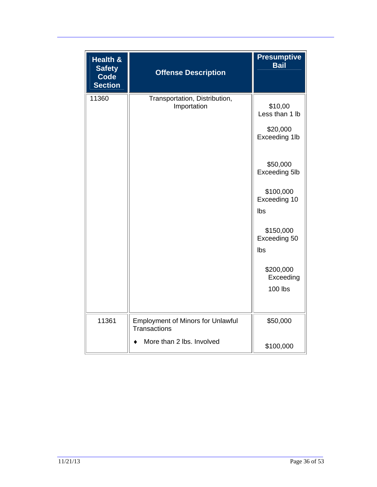| <b>Health &amp;</b><br><b>Safety</b><br><b>Code</b><br><b>Section</b> | <b>Offense Description</b>                                                                   | <b>Presumptive</b><br><b>Bail</b>                                                                                                                                                                       |
|-----------------------------------------------------------------------|----------------------------------------------------------------------------------------------|---------------------------------------------------------------------------------------------------------------------------------------------------------------------------------------------------------|
| 11360                                                                 | Transportation, Distribution,<br>Importation                                                 | \$10,00<br>Less than 1 lb<br>\$20,000<br>Exceeding 1lb<br>\$50,000<br>Exceeding 5lb<br>\$100,000<br>Exceeding 10<br>Ibs<br>\$150,000<br>Exceeding 50<br>Ibs<br>\$200,000<br>Exceeding<br><b>100 lbs</b> |
| 11361                                                                 | <b>Employment of Minors for Unlawful</b><br><b>Transactions</b><br>More than 2 lbs. Involved | \$50,000<br>\$100,000                                                                                                                                                                                   |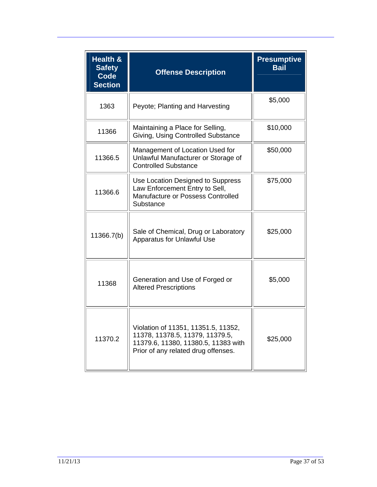| <b>Health &amp;</b><br><b>Safety</b><br><b>Code</b><br><b>Section</b> | <b>Offense Description</b>                                                                                                                           | <b>Presumptive</b><br><b>Bail</b> |
|-----------------------------------------------------------------------|------------------------------------------------------------------------------------------------------------------------------------------------------|-----------------------------------|
| 1363                                                                  | Peyote; Planting and Harvesting                                                                                                                      | \$5,000                           |
| 11366                                                                 | Maintaining a Place for Selling,<br>Giving, Using Controlled Substance                                                                               | \$10,000                          |
| 11366.5                                                               | Management of Location Used for<br>Unlawful Manufacturer or Storage of<br><b>Controlled Substance</b>                                                | \$50,000                          |
| 11366.6                                                               | Use Location Designed to Suppress<br>Law Enforcement Entry to Sell,<br>Manufacture or Possess Controlled<br>Substance                                | \$75,000                          |
| 11366.7(b)                                                            | Sale of Chemical, Drug or Laboratory<br><b>Apparatus for Unlawful Use</b>                                                                            | \$25,000                          |
| 11368                                                                 | Generation and Use of Forged or<br><b>Altered Prescriptions</b>                                                                                      | \$5,000                           |
| 11370.2                                                               | Violation of 11351, 11351.5, 11352,<br>11378, 11378.5, 11379, 11379.5,<br>11379.6, 11380, 11380.5, 11383 with<br>Prior of any related drug offenses. | \$25,000                          |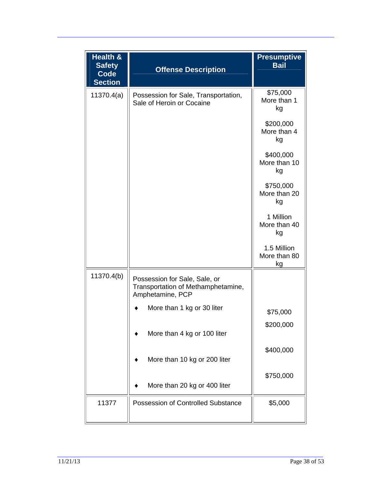| Health &<br><b>Safety</b><br><b>Code</b><br><b>Section</b> | <b>Offense Description</b>                                                              | <b>Presumptive</b><br><b>Bail</b> |
|------------------------------------------------------------|-----------------------------------------------------------------------------------------|-----------------------------------|
| 11370.4(a)                                                 | Possession for Sale, Transportation,<br>Sale of Heroin or Cocaine                       | \$75,000<br>More than 1<br>kg     |
|                                                            |                                                                                         | \$200,000<br>More than 4<br>kg    |
|                                                            |                                                                                         | \$400,000<br>More than 10<br>kg   |
|                                                            |                                                                                         | \$750,000<br>More than 20<br>kg   |
|                                                            |                                                                                         | 1 Million<br>More than 40<br>kg   |
|                                                            |                                                                                         | 1.5 Million<br>More than 80<br>kg |
| 11370.4(b)                                                 | Possession for Sale, Sale, or<br>Transportation of Methamphetamine,<br>Amphetamine, PCP |                                   |
|                                                            | More than 1 kg or 30 liter                                                              | \$75,000                          |
|                                                            | More than 4 kg or 100 liter                                                             | \$200,000                         |
|                                                            | More than 10 kg or 200 liter                                                            | \$400,000                         |
|                                                            | More than 20 kg or 400 liter                                                            | \$750,000                         |
| 11377                                                      | <b>Possession of Controlled Substance</b>                                               | \$5,000                           |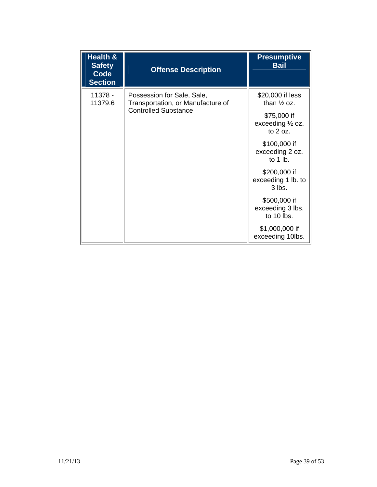| Health &<br><b>Safety</b><br><b>Code</b><br><b>Section</b> | <b>Offense Description</b>                                                                     | <b>Presumptive</b><br><b>Bail</b>                                                                      |
|------------------------------------------------------------|------------------------------------------------------------------------------------------------|--------------------------------------------------------------------------------------------------------|
| 11378 -<br>11379.6                                         | Possession for Sale, Sale,<br>Transportation, or Manufacture of<br><b>Controlled Substance</b> | \$20,000 if less<br>than $\frac{1}{2}$ oz.<br>\$75,000 if<br>exceeding $\frac{1}{2}$ oz.<br>to $2$ oz. |
|                                                            |                                                                                                | \$100,000 if<br>exceeding 2 oz.<br>to 1 lb.                                                            |
|                                                            |                                                                                                | \$200,000 if<br>exceeding 1 lb. to<br>$3$ lbs.                                                         |
|                                                            |                                                                                                | \$500,000 if<br>exceeding 3 lbs.<br>to 10 lbs.                                                         |
|                                                            |                                                                                                | \$1,000,000 if<br>exceeding 10lbs.                                                                     |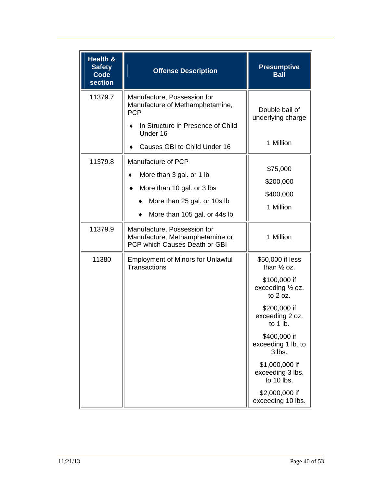| Health &<br><b>Safety</b><br><b>Code</b><br>section | <b>Offense Description</b>                                                                                                                                    | <b>Presumptive</b><br><b>Bail</b>                                                                                                                                                                                                                                                                   |
|-----------------------------------------------------|---------------------------------------------------------------------------------------------------------------------------------------------------------------|-----------------------------------------------------------------------------------------------------------------------------------------------------------------------------------------------------------------------------------------------------------------------------------------------------|
| 11379.7                                             | Manufacture, Possession for<br>Manufacture of Methamphetamine,<br><b>PCP</b><br>In Structure in Presence of Child<br>Under 16<br>Causes GBI to Child Under 16 | Double bail of<br>underlying charge<br>1 Million                                                                                                                                                                                                                                                    |
| 11379.8                                             | Manufacture of PCP<br>More than 3 gal. or 1 lb<br>More than 10 gal. or 3 lbs<br>More than 25 gal. or 10s lb<br>More than 105 gal. or 44s lb                   | \$75,000<br>\$200,000<br>\$400,000<br>1 Million                                                                                                                                                                                                                                                     |
| 11379.9                                             | Manufacture, Possession for<br>Manufacture, Methamphetamine or<br>PCP which Causes Death or GBI                                                               | 1 Million                                                                                                                                                                                                                                                                                           |
| 11380                                               | <b>Employment of Minors for Unlawful</b><br><b>Transactions</b>                                                                                               | \$50,000 if less<br>than $\frac{1}{2}$ oz.<br>\$100,000 if<br>exceeding $\frac{1}{2}$ oz.<br>to $2$ oz.<br>\$200,000 if<br>exceeding 2 oz.<br>to $1$ lb.<br>\$400,000 if<br>exceeding 1 lb. to<br>3 lbs.<br>\$1,000,000 if<br>exceeding 3 lbs.<br>to 10 lbs.<br>\$2,000,000 if<br>exceeding 10 lbs. |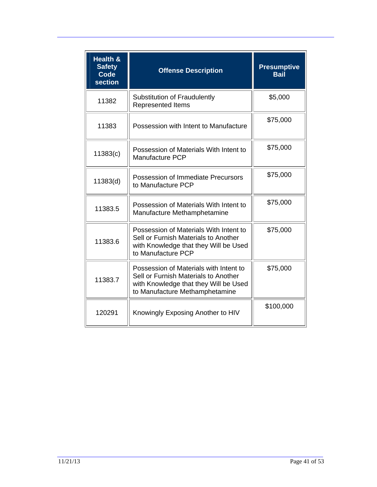| <b>Health &amp;</b><br><b>Safety</b><br><b>Code</b><br>section | <b>Offense Description</b>                                                                                                                                | <b>Presumptive</b><br><b>Bail</b> |
|----------------------------------------------------------------|-----------------------------------------------------------------------------------------------------------------------------------------------------------|-----------------------------------|
| 11382                                                          | <b>Substitution of Fraudulently</b><br><b>Represented Items</b>                                                                                           | \$5,000                           |
| 11383                                                          | Possession with Intent to Manufacture                                                                                                                     | \$75,000                          |
| 11383(c)                                                       | Possession of Materials With Intent to<br><b>Manufacture PCP</b>                                                                                          | \$75,000                          |
| 11383(d)                                                       | Possession of Immediate Precursors<br>to Manufacture PCP                                                                                                  | \$75,000                          |
| 11383.5                                                        | Possession of Materials With Intent to<br>Manufacture Methamphetamine                                                                                     | \$75,000                          |
| 11383.6                                                        | Possession of Materials With Intent to<br>Sell or Furnish Materials to Another<br>with Knowledge that they Will be Used<br>to Manufacture PCP             | \$75,000                          |
| 11383.7                                                        | Possession of Materials with Intent to<br>Sell or Furnish Materials to Another<br>with Knowledge that they Will be Used<br>to Manufacture Methamphetamine | \$75,000                          |
| 120291                                                         | Knowingly Exposing Another to HIV                                                                                                                         | \$100,000                         |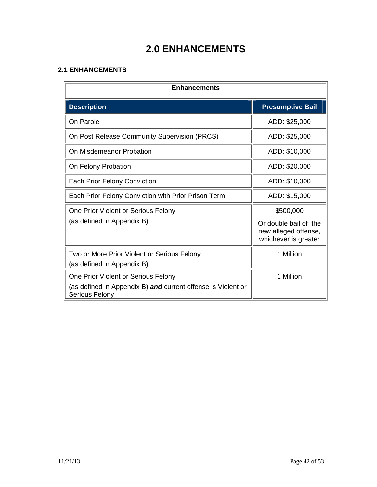## **2.0 ENHANCEMENTS**

#### **2.1 ENHANCEMENTS**

| <b>Enhancements</b>                                                                                                   |                                                                                    |
|-----------------------------------------------------------------------------------------------------------------------|------------------------------------------------------------------------------------|
| <b>Description</b>                                                                                                    | <b>Presumptive Bail</b>                                                            |
| On Parole                                                                                                             | ADD: \$25,000                                                                      |
| On Post Release Community Supervision (PRCS)                                                                          | ADD: \$25,000                                                                      |
| On Misdemeanor Probation                                                                                              | ADD: \$10,000                                                                      |
| On Felony Probation                                                                                                   | ADD: \$20,000                                                                      |
| Each Prior Felony Conviction                                                                                          | ADD: \$10,000                                                                      |
| Each Prior Felony Conviction with Prior Prison Term                                                                   | ADD: \$15,000                                                                      |
| One Prior Violent or Serious Felony<br>(as defined in Appendix B)                                                     | \$500,000<br>Or double bail of the<br>new alleged offense,<br>whichever is greater |
| Two or More Prior Violent or Serious Felony<br>(as defined in Appendix B)                                             | 1 Million                                                                          |
| One Prior Violent or Serious Felony<br>(as defined in Appendix B) and current offense is Violent or<br>Serious Felony | 1 Million                                                                          |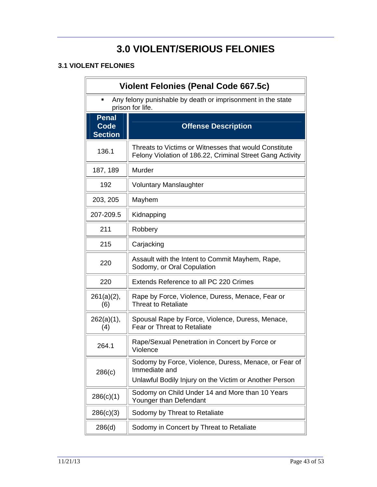## **3.0 VIOLENT/SERIOUS FELONIES**

#### **3.1 VIOLENT FELONIES**

| <b>Violent Felonies (Penal Code 667.5c)</b>                                     |                                                                                                                                  |
|---------------------------------------------------------------------------------|----------------------------------------------------------------------------------------------------------------------------------|
| Any felony punishable by death or imprisonment in the state<br>prison for life. |                                                                                                                                  |
| <b>Penal</b>                                                                    |                                                                                                                                  |
| <b>Code</b><br><b>Section</b>                                                   | <b>Offense Description</b>                                                                                                       |
| 136.1                                                                           | Threats to Victims or Witnesses that would Constitute<br>Felony Violation of 186.22, Criminal Street Gang Activity               |
| 187, 189                                                                        | Murder                                                                                                                           |
| 192                                                                             | <b>Voluntary Manslaughter</b>                                                                                                    |
| 203, 205                                                                        | Mayhem                                                                                                                           |
| 207-209.5                                                                       | Kidnapping                                                                                                                       |
| 211                                                                             | Robbery                                                                                                                          |
| 215                                                                             | Carjacking                                                                                                                       |
| 220                                                                             | Assault with the Intent to Commit Mayhem, Rape,<br>Sodomy, or Oral Copulation                                                    |
| 220                                                                             | Extends Reference to all PC 220 Crimes                                                                                           |
| $261(a)(2)$ ,<br>(6)                                                            | Rape by Force, Violence, Duress, Menace, Fear or<br>Threat to Retaliate                                                          |
| 262(a)(1),<br>(4)                                                               | Spousal Rape by Force, Violence, Duress, Menace,<br><b>Fear or Threat to Retaliate</b>                                           |
| 264.1                                                                           | Rape/Sexual Penetration in Concert by Force or<br>Violence                                                                       |
| 286(c)                                                                          | Sodomy by Force, Violence, Duress, Menace, or Fear of<br>Immediate and<br>Unlawful Bodily Injury on the Victim or Another Person |
| 286(c)(1)                                                                       | Sodomy on Child Under 14 and More than 10 Years<br>Younger than Defendant                                                        |
| 286(c)(3)                                                                       | Sodomy by Threat to Retaliate                                                                                                    |
| 286(d)                                                                          | Sodomy in Concert by Threat to Retaliate                                                                                         |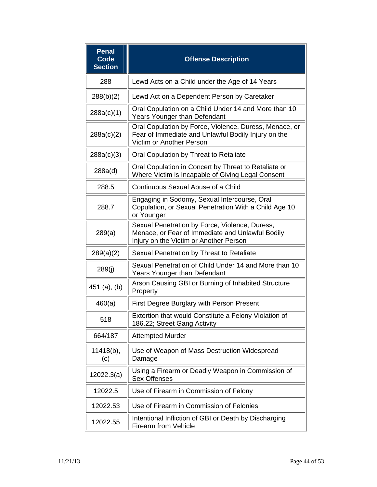| <b>Penal</b><br>Code<br><b>Section</b> | <b>Offense Description</b>                                                                                                                   |
|----------------------------------------|----------------------------------------------------------------------------------------------------------------------------------------------|
| 288                                    | Lewd Acts on a Child under the Age of 14 Years                                                                                               |
| 288(b)(2)                              | Lewd Act on a Dependent Person by Caretaker                                                                                                  |
| 288a(c)(1)                             | Oral Copulation on a Child Under 14 and More than 10<br>Years Younger than Defendant                                                         |
| 288a(c)(2)                             | Oral Copulation by Force, Violence, Duress, Menace, or<br>Fear of Immediate and Unlawful Bodily Injury on the<br>Victim or Another Person    |
| 288a(c)(3)                             | Oral Copulation by Threat to Retaliate                                                                                                       |
| 288a(d)                                | Oral Copulation in Concert by Threat to Retaliate or<br>Where Victim is Incapable of Giving Legal Consent                                    |
| 288.5                                  | Continuous Sexual Abuse of a Child                                                                                                           |
| 288.7                                  | Engaging in Sodomy, Sexual Intercourse, Oral<br>Copulation, or Sexual Penetration With a Child Age 10<br>or Younger                          |
| 289(a)                                 | Sexual Penetration by Force, Violence, Duress,<br>Menace, or Fear of Immediate and Unlawful Bodily<br>Injury on the Victim or Another Person |
| 289(a)(2)                              | Sexual Penetration by Threat to Retaliate                                                                                                    |
| 289(j)                                 | Sexual Penetration of Child Under 14 and More than 10<br>Years Younger than Defendant                                                        |
| $451$ (a), (b)                         | Arson Causing GBI or Burning of Inhabited Structure<br>Property                                                                              |
| 460(a)                                 | First Degree Burglary with Person Present                                                                                                    |
| 518                                    | Extortion that would Constitute a Felony Violation of<br>186.22; Street Gang Activity                                                        |
| 664/187                                | <b>Attempted Murder</b>                                                                                                                      |
| $11418(b)$ ,<br>(c)                    | Use of Weapon of Mass Destruction Widespread<br>Damage                                                                                       |
| 12022.3(a)                             | Using a Firearm or Deadly Weapon in Commission of<br><b>Sex Offenses</b>                                                                     |
| 12022.5                                | Use of Firearm in Commission of Felony                                                                                                       |
| 12022.53                               | Use of Firearm in Commission of Felonies                                                                                                     |
| 12022.55                               | Intentional Infliction of GBI or Death by Discharging<br><b>Firearm from Vehicle</b>                                                         |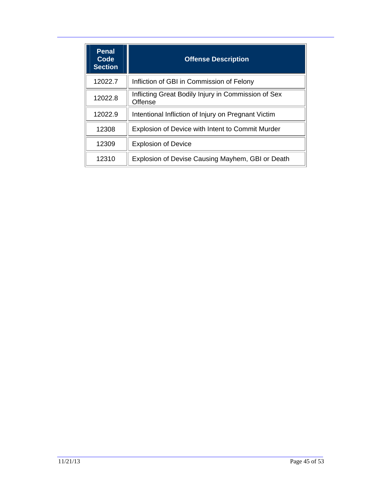| <b>Penal</b><br>Code<br><b>Section</b> | <b>Offense Description</b>                                     |
|----------------------------------------|----------------------------------------------------------------|
| 12022.7                                | Infliction of GBI in Commission of Felony                      |
| 12022.8                                | Inflicting Great Bodily Injury in Commission of Sex<br>Offense |
| 12022.9                                | Intentional Infliction of Injury on Pregnant Victim            |
| 12308                                  | <b>Explosion of Device with Intent to Commit Murder</b>        |
| 12309                                  | <b>Explosion of Device</b>                                     |
| 12310                                  | Explosion of Devise Causing Mayhem, GBI or Death               |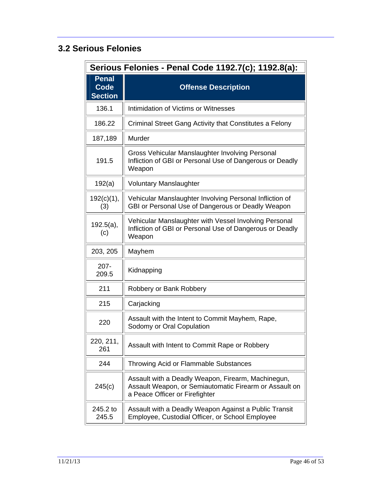### **3.2 Serious Felonies**

| Serious Felonies - Penal Code 1192.7(c); 1192.8(a): |                                                                                                                                                |
|-----------------------------------------------------|------------------------------------------------------------------------------------------------------------------------------------------------|
| <b>Penal</b><br><b>Code</b><br><b>Section</b>       | <b>Offense Description</b>                                                                                                                     |
| 136.1                                               | Intimidation of Victims or Witnesses                                                                                                           |
| 186.22                                              | Criminal Street Gang Activity that Constitutes a Felony                                                                                        |
| 187,189                                             | Murder                                                                                                                                         |
| 191.5                                               | Gross Vehicular Manslaughter Involving Personal<br>Infliction of GBI or Personal Use of Dangerous or Deadly<br>Weapon                          |
| 192(a)                                              | <b>Voluntary Manslaughter</b>                                                                                                                  |
| 192(c)(1),<br>(3)                                   | Vehicular Manslaughter Involving Personal Infliction of<br>GBI or Personal Use of Dangerous or Deadly Weapon                                   |
| 192.5(a),<br>(c)                                    | Vehicular Manslaughter with Vessel Involving Personal<br>Infliction of GBI or Personal Use of Dangerous or Deadly<br>Weapon                    |
| 203, 205                                            | Mayhem                                                                                                                                         |
| $207 -$<br>209.5                                    | Kidnapping                                                                                                                                     |
| 211                                                 | Robbery or Bank Robbery                                                                                                                        |
| 215                                                 | Carjacking                                                                                                                                     |
| 220                                                 | Assault with the Intent to Commit Mayhem, Rape,<br>Sodomy or Oral Copulation                                                                   |
| 220, 211,<br>261                                    | Assault with Intent to Commit Rape or Robbery                                                                                                  |
| 244                                                 | <b>Throwing Acid or Flammable Substances</b>                                                                                                   |
| 245(c)                                              | Assault with a Deadly Weapon, Firearm, Machinegun,<br>Assault Weapon, or Semiautomatic Firearm or Assault on<br>a Peace Officer or Firefighter |
| 245.2 to<br>245.5                                   | Assault with a Deadly Weapon Against a Public Transit<br>Employee, Custodial Officer, or School Employee                                       |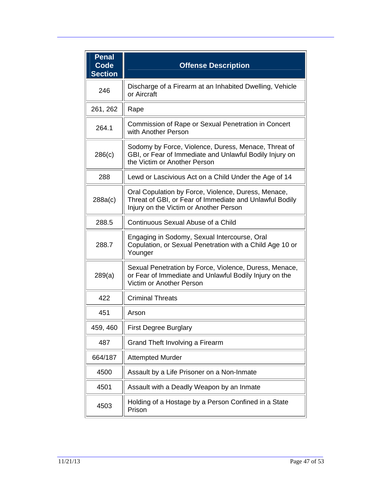| <b>Penal</b><br><b>Code</b><br><b>Section</b> | <b>Offense Description</b>                                                                                                                               |
|-----------------------------------------------|----------------------------------------------------------------------------------------------------------------------------------------------------------|
| 246                                           | Discharge of a Firearm at an Inhabited Dwelling, Vehicle<br>or Aircraft                                                                                  |
| 261, 262                                      | Rape                                                                                                                                                     |
| 264.1                                         | Commission of Rape or Sexual Penetration in Concert<br>with Another Person                                                                               |
| 286(c)                                        | Sodomy by Force, Violence, Duress, Menace, Threat of<br>GBI, or Fear of Immediate and Unlawful Bodily Injury on<br>the Victim or Another Person          |
| 288                                           | Lewd or Lascivious Act on a Child Under the Age of 14                                                                                                    |
| 288a(c)                                       | Oral Copulation by Force, Violence, Duress, Menace,<br>Threat of GBI, or Fear of Immediate and Unlawful Bodily<br>Injury on the Victim or Another Person |
| 288.5                                         | Continuous Sexual Abuse of a Child                                                                                                                       |
| 288.7                                         | Engaging in Sodomy, Sexual Intercourse, Oral<br>Copulation, or Sexual Penetration with a Child Age 10 or<br>Younger                                      |
| 289(a)                                        | Sexual Penetration by Force, Violence, Duress, Menace,<br>or Fear of Immediate and Unlawful Bodily Injury on the<br>Victim or Another Person             |
| 422                                           | <b>Criminal Threats</b>                                                                                                                                  |
| 451                                           | Arson                                                                                                                                                    |
| 459, 460                                      | <b>First Degree Burglary</b>                                                                                                                             |
| 487                                           | Grand Theft Involving a Firearm                                                                                                                          |
| 664/187                                       | <b>Attempted Murder</b>                                                                                                                                  |
| 4500                                          | Assault by a Life Prisoner on a Non-Inmate                                                                                                               |
| 4501                                          | Assault with a Deadly Weapon by an Inmate                                                                                                                |
| 4503                                          | Holding of a Hostage by a Person Confined in a State<br>Prison                                                                                           |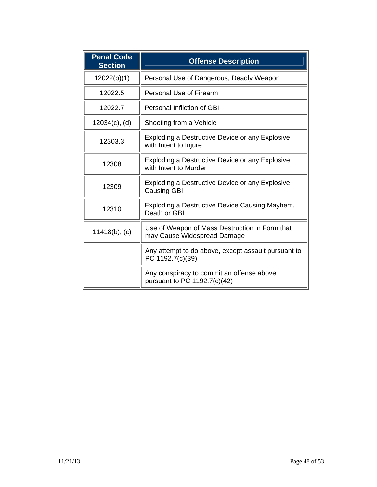| <b>Penal Code</b><br><b>Section</b> | <b>Offense Description</b>                                                      |
|-------------------------------------|---------------------------------------------------------------------------------|
| 12022(b)(1)                         | Personal Use of Dangerous, Deadly Weapon                                        |
| 12022.5                             | <b>Personal Use of Firearm</b>                                                  |
| 12022.7                             | Personal Infliction of GBI                                                      |
| $12034(c)$ , (d)                    | Shooting from a Vehicle                                                         |
| 12303.3                             | <b>Exploding a Destructive Device or any Explosive</b><br>with Intent to Injure |
| 12308                               | Exploding a Destructive Device or any Explosive<br>with Intent to Murder        |
| 12309                               | Exploding a Destructive Device or any Explosive<br><b>Causing GBI</b>           |
| 12310                               | Exploding a Destructive Device Causing Mayhem,<br>Death or GBI                  |
| $11418(b)$ , (c)                    | Use of Weapon of Mass Destruction in Form that<br>may Cause Widespread Damage   |
|                                     | Any attempt to do above, except assault pursuant to<br>PC 1192.7(c)(39)         |
|                                     | Any conspiracy to commit an offense above<br>pursuant to PC 1192.7(c)(42)       |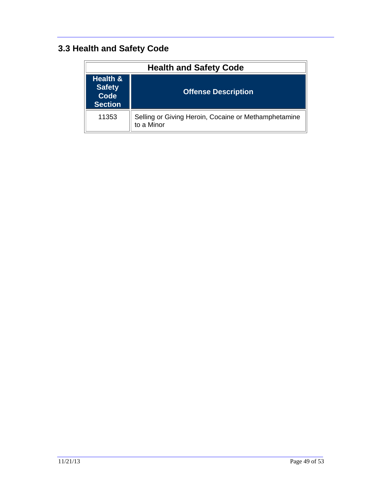## **3.3 Health and Safety Code**

| <b>Health and Safety Code</b>                                         |                                                                    |
|-----------------------------------------------------------------------|--------------------------------------------------------------------|
| <b>Health &amp;</b><br><b>Safety</b><br><b>Code</b><br><b>Section</b> | <b>Offense Description</b>                                         |
| 11353                                                                 | Selling or Giving Heroin, Cocaine or Methamphetamine<br>to a Minor |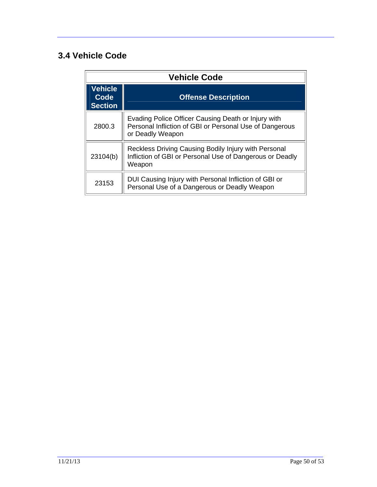#### **3.4 Vehicle Code**

| <b>Vehicle Code</b>                      |                                                                                                                                    |
|------------------------------------------|------------------------------------------------------------------------------------------------------------------------------------|
| <b>Vehicle</b><br>Code<br><b>Section</b> | <b>Offense Description</b>                                                                                                         |
| 2800.3                                   | Evading Police Officer Causing Death or Injury with<br>Personal Infliction of GBI or Personal Use of Dangerous<br>or Deadly Weapon |
| 23104(b)                                 | Reckless Driving Causing Bodily Injury with Personal<br>Infliction of GBI or Personal Use of Dangerous or Deadly<br>Weapon         |
| 23153                                    | DUI Causing Injury with Personal Infliction of GBI or<br>Personal Use of a Dangerous or Deadly Weapon                              |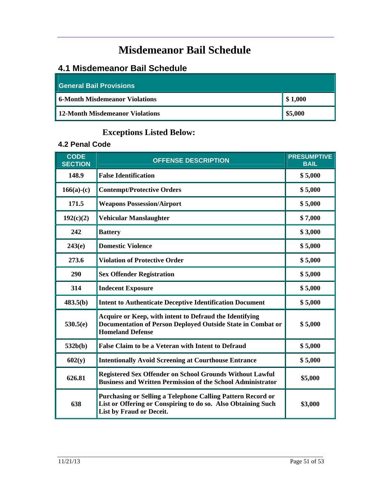# **Misdemeanor Bail Schedule**

#### **4.1 Misdemeanor Bail Schedule**

| General Bail Provisions               |         |  |
|---------------------------------------|---------|--|
| <b>6-Month Misdemeanor Violations</b> | \$1,000 |  |
| 12-Month Misdemeanor Violations       | \$5,000 |  |

#### **Exceptions Listed Below:**

#### **4.2 Penal Code**

| <b>CODE</b><br><b>SECTION</b> | <b>OFFENSE DESCRIPTION</b>                                                                                                                              | <b>PRESUMPTIVE</b><br><b>BAIL</b> |
|-------------------------------|---------------------------------------------------------------------------------------------------------------------------------------------------------|-----------------------------------|
| 148.9                         | <b>False Identification</b>                                                                                                                             | \$5,000                           |
| $166(a)-(c)$                  | <b>Contempt/Protective Orders</b>                                                                                                                       | \$5,000                           |
| 171.5                         | <b>Weapons Possession/Airport</b>                                                                                                                       | \$5,000                           |
| 192(c)(2)                     | <b>Vehicular Manslaughter</b>                                                                                                                           | \$7,000                           |
| 242                           | <b>Battery</b>                                                                                                                                          | \$3,000                           |
| 243(e)                        | <b>Domestic Violence</b>                                                                                                                                | \$5,000                           |
| 273.6                         | <b>Violation of Protective Order</b>                                                                                                                    | \$5,000                           |
| 290                           | <b>Sex Offender Registration</b>                                                                                                                        | \$5,000                           |
| 314                           | <b>Indecent Exposure</b>                                                                                                                                | \$5,000                           |
| 483.5(b)                      | <b>Intent to Authenticate Deceptive Identification Document</b>                                                                                         | \$5,000                           |
| 530.5(e)                      | Acquire or Keep, with intent to Defraud the Identifying<br>Documentation of Person Deployed Outside State in Combat or<br><b>Homeland Defense</b>       | \$5,000                           |
| 532b(b)                       | <b>False Claim to be a Veteran with Intent to Defraud</b>                                                                                               | \$5,000                           |
| 602(y)                        | <b>Intentionally Avoid Screening at Courthouse Entrance</b>                                                                                             | \$5,000                           |
| 626.81                        | <b>Registered Sex Offender on School Grounds Without Lawful</b><br><b>Business and Written Permission of the School Administrator</b>                   | \$5,000                           |
| 638                           | Purchasing or Selling a Telephone Calling Pattern Record or<br>List or Offering or Conspiring to do so. Also Obtaining Such<br>List by Fraud or Deceit. | \$3,000                           |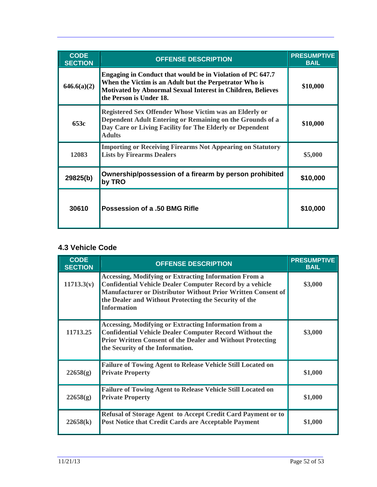| <b>CODE</b><br><b>SECTION</b> | <b>OFFENSE DESCRIPTION</b>                                                                                                                                                                                     | <b>PRESUMPTIVE</b><br><b>BAIL</b> |
|-------------------------------|----------------------------------------------------------------------------------------------------------------------------------------------------------------------------------------------------------------|-----------------------------------|
| 646.6(a)(2)                   | Engaging in Conduct that would be in Violation of PC 647.7<br>When the Victim is an Adult but the Perpetrator Who is<br>Motivated by Abnormal Sexual Interest in Children, Believes<br>the Person is Under 18. | \$10,000                          |
| 653c                          | Registered Sex Offender Whose Victim was an Elderly or<br>Dependent Adult Entering or Remaining on the Grounds of a<br>Day Care or Living Facility for The Elderly or Dependent<br><b>Adults</b>               | \$10,000                          |
| 12083                         | <b>Importing or Receiving Firearms Not Appearing on Statutory</b><br><b>Lists by Firearms Dealers</b>                                                                                                          | \$5,000                           |
| 29825(b)                      | Ownership/possession of a firearm by person prohibited<br>by TRO                                                                                                                                               | \$10,000                          |
| 30610                         | <b>Possession of a .50 BMG Rifle</b>                                                                                                                                                                           | \$10,000                          |

#### **4.3 Vehicle Code**

| <b>CODE</b><br><b>SECTION</b> | <b>OFFENSE DESCRIPTION</b>                                                                                                                                                                                                                                                     | <b>PRESUMPTIVE</b><br><b>BAIL</b> |
|-------------------------------|--------------------------------------------------------------------------------------------------------------------------------------------------------------------------------------------------------------------------------------------------------------------------------|-----------------------------------|
| 11713.3(v)                    | <b>Accessing, Modifying or Extracting Information From a</b><br><b>Confidential Vehicle Dealer Computer Record by a vehicle</b><br>Manufacturer or Distributor Without Prior Written Consent of<br>the Dealer and Without Protecting the Security of the<br><b>Information</b> | \$3,000                           |
| 11713.25                      | <b>Accessing, Modifying or Extracting Information from a</b><br><b>Confidential Vehicle Dealer Computer Record Without the</b><br><b>Prior Written Consent of the Dealer and Without Protecting</b><br>the Security of the Information.                                        | \$3,000                           |
| 22658(g)                      | <b>Failure of Towing Agent to Release Vehicle Still Located on</b><br><b>Private Property</b>                                                                                                                                                                                  | \$1,000                           |
| 22658(g)                      | <b>Failure of Towing Agent to Release Vehicle Still Located on</b><br><b>Private Property</b>                                                                                                                                                                                  | \$1,000                           |
| 22658(k)                      | Refusal of Storage Agent to Accept Credit Card Payment or to<br>Post Notice that Credit Cards are Acceptable Payment                                                                                                                                                           | \$1,000                           |